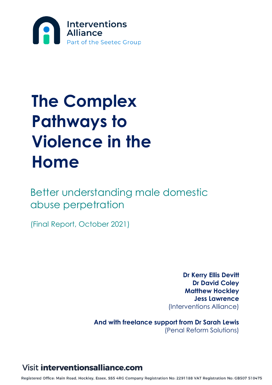

# **The Complex Pathways to Violence in the Home**

Better understanding male domestic abuse perpetration

(Final Report, October 2021)

**Dr Kerry Ellis Devitt Dr David Coley Matthew Hockley Jess Lawrence** (Interventions Alliance)

**And with freelance support from Dr Sarah Lewis**  (Penal Reform Solutions)

### **Visit interventionsalliance.com**

Registered Office: Main Road, Hockley, Essex, SS5 4RG Company Registration No: 2291188 VAT Registration No: GB507 510475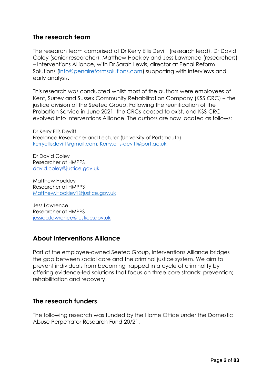### **The research team**

The research team comprised of Dr Kerry Ellis Devitt (research lead), Dr David Coley (senior researcher), Matthew Hockley and Jess Lawrence (researchers) – Interventions Alliance, with Dr Sarah Lewis, director at Penal Reform Solutions [\(info@penalreformsolutions.com\)](mailto:info@penalreformsolutions.com) supporting with interviews and early analysis.

This research was conducted whilst most of the authors were employees of Kent, Surrey and Sussex Community Rehabilitation Company (KSS CRC) – the justice division of the Seetec Group. Following the reunification of the Probation Service in June 2021, the CRCs ceased to exist, and KSS CRC evolved into Interventions Alliance. The authors are now located as follows:

Dr Kerry Ellis Devitt Freelance Researcher and Lecturer (University of Portsmouth) [kerryellisdevitt@gmail.com;](mailto:kerryellisdevitt@gmail.com) [Kerry.ellis-devitt@port.ac.uk](mailto:Kerry.ellis-devitt@port.ac.uk)

Dr David Coley Researcher at HMPPS [david.coley@justice.gov.uk](mailto:david.coley@justice.gov.uk)

Matthew Hockley Researcher at HMPPS [Matthew.Hockley1@justice.gov.uk](mailto:Matthew.Hockley1@justice.gov.uk)

Jess Lawrence Researcher at HMPPS [jessica.lawrence@justice.gov.uk](mailto:jesslawrenceresearch@gmail.com)

### **About Interventions Alliance**

Part of the employee-owned Seetec Group, Interventions Alliance bridges the gap between social care and the criminal justice system. We aim to prevent individuals from becoming trapped in a cycle of criminality by offering evidence-led solutions that focus on three core strands: prevention; rehabilitation and recovery.

### **The research funders**

The following research was funded by the Home Office under the Domestic Abuse Perpetrator Research Fund 20/21.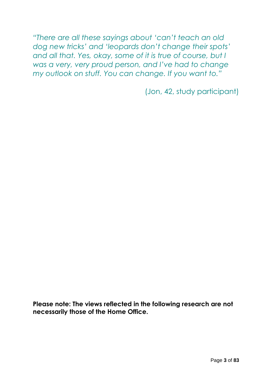*"There are all these sayings about 'can't teach an old dog new tricks' and 'leopards don't change their spots' and all that. Yes, okay, some of it is true of course, but I was a very, very proud person, and I've had to change my outlook on stuff. You can change. If you want to."*

(Jon, 42, study participant)

**Please note: The views reflected in the following research are not necessarily those of the Home Office.**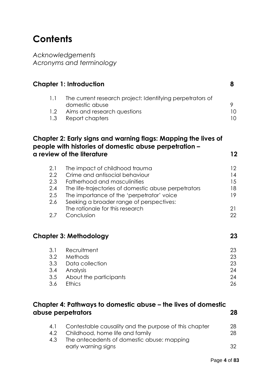# **Contents**

*Acknowledgements Acronyms and terminology*

|                                                                                     | <b>Chapter 1: Introduction</b>                                 | 8  |
|-------------------------------------------------------------------------------------|----------------------------------------------------------------|----|
| 1.1                                                                                 | The current research project: Identifying perpetrators of      |    |
|                                                                                     | domestic abuse                                                 | 9  |
| 1.2                                                                                 | Aims and research questions                                    | 10 |
| 1.3                                                                                 | Report chapters                                                | 10 |
|                                                                                     | Chapter 2: Early signs and warning flags: Mapping the lives of |    |
|                                                                                     | people with histories of domestic abuse perpetration –         |    |
|                                                                                     | a review of the literature                                     | 12 |
| 2.1                                                                                 | The impact of childhood trauma                                 | 12 |
| $2.2\phantom{0}$                                                                    | Crime and antisocial behaviour                                 | 14 |
| 2.3                                                                                 | Fatherhood and masculinities                                   | 15 |
| 2.4                                                                                 | The life-trajectories of domestic abuse perpetrators           | 18 |
| 2.5                                                                                 | The importance of the 'perpetrator' voice                      | 19 |
| 2.6                                                                                 | Seeking a broader range of perspectives:                       |    |
|                                                                                     | The rationale for this research                                | 21 |
| 2.7                                                                                 | Conclusion                                                     | 22 |
|                                                                                     | <b>Chapter 3: Methodology</b>                                  | 23 |
| 3.1                                                                                 | Recruitment                                                    | 23 |
| 3.2                                                                                 | Methods                                                        | 23 |
| 3.3                                                                                 | Data collection                                                | 23 |
| 3.4                                                                                 | Analysis                                                       | 24 |
| 3.5                                                                                 | About the participants                                         | 24 |
| 3.6                                                                                 | Ethics                                                         | 26 |
|                                                                                     |                                                                |    |
| Chapter 4: Pathways to domestic abuse – the lives of domestic<br>abuse perpetrators |                                                                |    |
|                                                                                     |                                                                |    |

| 4.1           | Contestable causality and the purpose of this chapter | 28   |
|---------------|-------------------------------------------------------|------|
| $4.2^{\circ}$ | Childhood, home life and family                       | 28   |
| 4.3           | The antecedents of domestic abuse: mapping            |      |
|               | early warning signs                                   | -32. |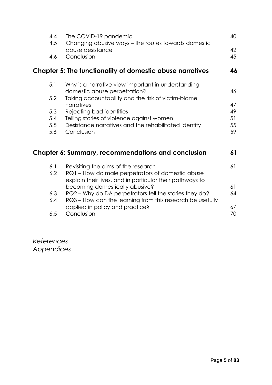|     | 4.4<br>The COVID-19 pandemic<br>4.5<br>Changing abusive ways - the routes towards domestic      | 40       |
|-----|-------------------------------------------------------------------------------------------------|----------|
| 4.6 | abuse desistance<br>Conclusion                                                                  | 42<br>45 |
|     | <b>Chapter 5: The functionality of domestic abuse narratives</b>                                | 46       |
| 5.1 | Why is a narrative view important in understanding<br>domestic abuse perpetration?              | 46       |
| 5.2 | Taking accountability and the risk of victim-blame                                              |          |
|     | narratives                                                                                      | 47       |
| 5.3 | Rejecting bad identities                                                                        | 49       |
| 5.4 | Telling stories of violence against women                                                       | 51       |
| 5.5 | Desistance narratives and the rehabilitated identity                                            | 55       |
| 5.6 | Conclusion                                                                                      | 59       |
|     | <b>Chapter 6: Summary, recommendations and conclusion</b>                                       | 61       |
| 6.1 | Revisiting the aims of the research                                                             | 61       |
|     | 6.2<br>RQ1 – How do male perpetrators of domestic abuse                                         |          |
|     | explain their lives, and in particular their pathways to                                        |          |
|     | becoming domestically abusive?<br>6.3<br>RQ2 - Why do DA perpetrators tell the stories they do? | 61<br>64 |
|     | RQ3 – How can the learning from this research be usefully<br>6.4                                |          |
|     | applied in policy and practice?                                                                 | 67       |
|     | 6.5<br>Conclusion                                                                               | 70       |
|     |                                                                                                 |          |

*References Appendices*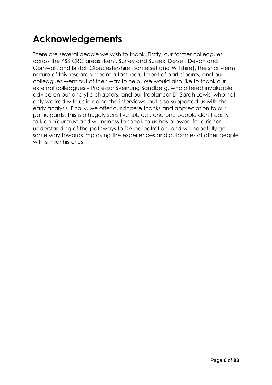# **Acknowledgements**

There are several people we wish to thank. Firstly, our former colleagues across the KSS CRC areas (Kent, Surrey and Sussex, Dorset, Devon and Cornwall, and Bristol, Gloucestershire, Somerset and Wiltshire). The short-term nature of this research meant a fast recruitment of participants, and our colleagues went out of their way to help. We would also like to thank our external colleagues – Professor Sveinung Sandberg, who offered invaluable advice on our analytic chapters, and our freelancer Dr Sarah Lewis, who not only worked with us in doing the interviews, but also supported us with the early analysis. Finally, we offer our sincere thanks and appreciation to our participants. This is a hugely sensitive subject, and one people don't easily talk on. Your trust and willingness to speak to us has allowed for a richer understanding of the pathways to DA perpetration, and will hopefully go some way towards improving the experiences and outcomes of other people with similar histories.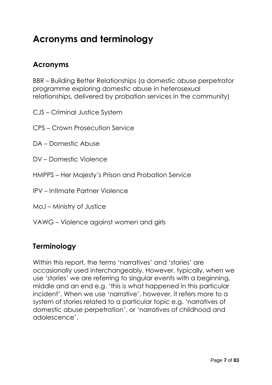# **Acronyms and terminology**

### **Acronyms**

BBR – Building Better Relationships (a domestic abuse perpetrator programme exploring domestic abuse in heterosexual relationships, delivered by probation services in the community)

- CJS Criminal Justice System
- CPS Crown Prosecution Service
- DA Domestic Abuse
- DV Domestic Violence
- HMPPS Her Majesty's Prison and Probation Service
- IPV Intimate Partner Violence
- MoJ Ministry of Justice
- VAWG Violence against women and girls

### **Terminology**

Within this report, the terms 'narratives' and 'stories' are occasionally used interchangeably. However, typically, when we use 'stories' we are referring to singular events with a beginning, middle and an end e.g. 'this is what happened in this particular incident'. When we use 'narrative', however, it refers more to a system of stories related to a particular topic e.g. 'narratives of domestic abuse perpetration', or 'narratives of childhood and adolescence'.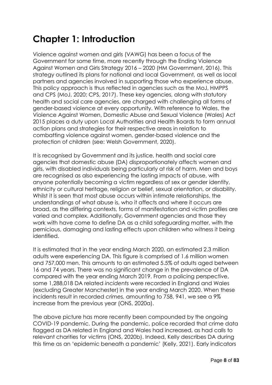# **Chapter 1: Introduction**

Violence against women and girls (VAWG) has been a focus of the Government for some time, more recently through the Ending Violence Against Women and Girls Strategy 2016 – 2020 (HM Government, 2016). This strategy outlined its plans for national and local Government, as well as local partners and agencies involved in supporting those who experience abuse. This policy approach is thus reflected in agencies such as the MoJ, HMPPS and CPS (MoJ, 2020; CPS, 2017). These key agencies, along with statutory health and social care agencies, are charged with challenging all forms of gender-based violence at every opportunity. With reference to Wales, the Violence Against Women, Domestic Abuse and Sexual Violence (Wales) Act 2015 places a duty upon Local Authorities and Health Boards to form annual action plans and strategies for their respective areas in relation to combatting violence against women, gender-based violence and the protection of children (see: Welsh Government, 2020).

It is recognised by Government and its justice, health and social care agencies that domestic abuse (DA) disproportionately affects women and girls, with disabled individuals being particularly at risk of harm. Men and boys are recognised as also experiencing the lasting impacts of abuse, with anyone potentially becoming a victim regardless of sex or gender identity, ethnicity or cultural heritage, religion or belief, sexual orientation, or disability. Whilst it is seen that most abuse occurs within intimate relationships, the understandings of what abuse is, who it affects and where it occurs are broad, as the differing contexts, forms of manifestation and victim profiles are varied and complex. Additionally, Government agencies and those they work with have come to define DA as a child safeguarding matter, with the pernicious, damaging and lasting effects upon children who witness it being identified.

It is estimated that in the year ending March 2020, an estimated 2.3 million adults were experiencing DA. This figure is comprised of 1.6 million women and 757,000 men. This amounts to an estimated 5.5% of adults aged between 16 and 74 years. There was no significant change in the prevalence of DA compared with the year ending March 2019. From a policing perspective, some 1,288,018 DA related *incidents* were recorded in England and Wales (excluding Greater Manchester) in the year ending March 2020. When these incidents result in recorded *crimes,* amounting to 758, 941, we see a 9% increase from the previous year (ONS, 2020a).

The above picture has more recently been compounded by the ongoing COVID-19 pandemic. During the pandemic, police recorded that crime data flagged as DA related in England and Wales had increased, as had calls to relevant charities for victims (ONS, 2020b). Indeed, Kelly describes DA during this time as an 'epidemic beneath a pandemic' (Kelly, 2021). Early indicators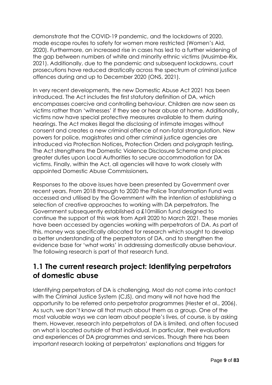demonstrate that the COVID-19 pandemic, and the lockdowns of 2020, made escape routes to safety for women more restricted (Women's Aid, 2020). Furthermore, an increased rise in cases has led to a further widening of the gap between numbers of white and minority ethnic victims (Musimbe-Rix, 2021). Additionally, due to the pandemic and subsequent lockdowns, court prosecutions have reduced drastically across the spectrum of criminal justice offences during and up to December 2020 (ONS, 2021).

In very recent developments, the new Domestic Abuse Act 2021 has been introduced. The Act includes the first statutory definition of DA, which encompasses coercive and controlling behaviour. Children are now seen as victims rather than 'witnesses' if they see or hear abuse at home. Additionally**,**  victims now have special protective measures available to them during hearings. The Act makes illegal the disclosing of intimate images without consent and creates a new criminal offence of non-fatal strangulation. New powers for police, magistrates and other criminal justice agencies are introduced via Protection Notices**,** Protection Orders and polygraph testing**.** The Act strengthens the Domestic Violence Disclosure Scheme and places greater duties upon Local Authorities to secure accommodation for DA victims. Finally, within the Act, all agencies will have to work closely with appointed Domestic Abuse Commissioners**.**

Responses to the above issues have been presented by Government over recent years. From 2018 through to 2020 the Police Transformation Fund was accessed and utilised by the Government with the intention of establishing a selection of creative approaches to working with DA perpetrators. The Government subsequently established a £10million fund designed to continue the support of this work from April 2020 to March 2021. These monies have been accessed by agencies working with perpetrators of DA. As part of this, money was specifically allocated for research which sought to develop a better understanding of the perpetrators of DA, and to strengthen the evidence base for 'what works' in addressing domestically abuse behaviour. The following research is part of that research fund.

### **1.1 The current research project: Identifying perpetrators of domestic abuse**

Identifying perpetrators of DA is challenging. Most do not come into contact with the Criminal Justice System (CJS), and many will not have had the opportunity to be referred onto perpetrator programmes (Hester et al., 2006). As such, we don't know all that much about them as a group. One of the most valuable ways we can learn about people's lives, of course, is by asking them. However, research into perpetrators of DA is limited, and often focused on what is located *outside* of that individual. In particular, their evaluations and experiences of DA programmes and services. Though there has been important research looking at perpetrators' explanations and triggers for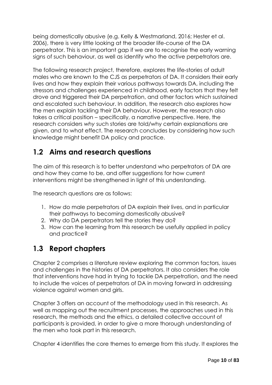being domestically abusive (e.g. Kelly & Westmarland, 2016; Hester et al. 2006), there is very little looking at the broader life-course of the DA perpetrator. This is an important gap if we are to recognise the early warning signs of such behaviour, as well as identify who the active perpetrators are.

The following research project, therefore, explores the life-stories of adult males who are known to the CJS as perpetrators of DA. It considers their early lives and how they explain their various pathways towards DA, including the stressors and challenges experienced in childhood, early factors that they felt drove and triggered their DA perpetration, and other factors which sustained and escalated such behaviour. In addition, the research also explores how the men explain tackling their DA behaviour. However, the research also takes a critical position – specifically, a narrative perspective. Here, the research considers *why* such stories are told/why certain explanations are given, and to what effect. The research concludes by considering how such knowledge might benefit DA policy and practice.

### **1.2 Aims and research questions**

The aim of this research is to better understand who perpetrators of DA are and how they came to be, and offer suggestions for how current interventions might be strengthened in light of this understanding.

The research questions are as follows:

- 1. How do male perpetrators of DA explain their lives, and in particular their pathways to becoming domestically abusive?
- 2. Why do DA perpetrators tell the stories they do?
- 3. How can the learning from this research be usefully applied in policy and practice?

### **1.3 Report chapters**

Chapter 2 comprises a literature review exploring the common factors, issues and challenges in the histories of DA perpetrators. It also considers the role that interventions have had in trying to tackle DA perpetration, and the need to include the voices of perpetrators of DA in moving forward in addressing violence against women and girls.

Chapter 3 offers an account of the methodology used in this research. As well as mapping out the recruitment processes, the approaches used in this research, the methods and the ethics, a detailed collective account of participants is provided, in order to give a more thorough understanding of the men who took part in this research.

Chapter 4 identifies the core themes to emerge from this study. It explores the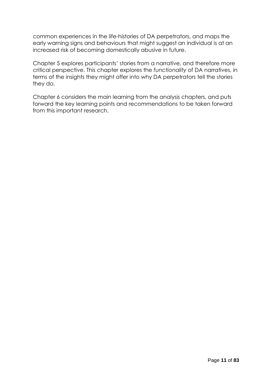common experiences in the life-histories of DA perpetrators, and maps the early warning signs and behaviours that might suggest an individual is at an increased risk of becoming domestically abusive in future.

Chapter 5 explores participants' stories from a narrative, and therefore more critical perspective. This chapter explores the *functionality* of DA narratives, in terms of the insights they might offer into why DA perpetrators tell the stories they do.

Chapter 6 considers the main learning from the analysis chapters, and puts forward the key learning points and recommendations to be taken forward from this important research.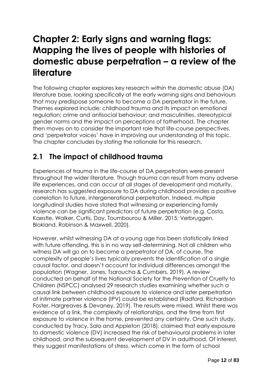## **Chapter 2: Early signs and warning flags: Mapping the lives of people with histories of domestic abuse perpetration – a review of the literature**

The following chapter explores key research within the domestic abuse (DA) literature base, looking specifically at the early warning signs and behaviours that may predispose someone to become a DA perpetrator in the future. Themes explored include: childhood trauma and its impact on emotional regulation; crime and antisocial behaviour; and masculinities, stereotypical gender norms and the impact on perceptions of fatherhood. The chapter then moves on to consider the important role that life-course perspectives, and 'perpetrator voices' have in improving our understanding of this topic. The chapter concludes by stating the rationale for this research.

### **2.1 The impact of childhood trauma**

Experiences of trauma in the life-course of DA perpetrators were present throughout the wider literature. Though trauma can result from many adverse life experiences, and can occur at all stages of development and maturity, research has suggested exposure to DA during childhood provides a positive correlation to future, intergenerational perpetration. Indeed, multiple longitudinal studies have stated that witnessing or experiencing family violence can be significant predictors of future perpetration (e.g. Costa, Kaestle, Walker, Curtis, Day, Toumbourou & Miller, 2015; Verbruggen, Blokland, Robinson & Maxwell, 2020).

However, whilst witnessing DA at a young age has been statistically linked with future offending, this is in no way self-determining. Not all children who witness DA will go on to become a perpetrator of DA, of course. The complexity of people's lives typically prevents the identification of a single causal factor, and doesn't account for individual differences amongst the population (Wagner, Jones, Tsaroucha & Cumbers, 2019). A review conducted on behalf of the National Society for the Prevention of Cruelty to Children (NSPCC) analysed 29 research studies examining whether such a causal link between childhood exposure to violence and later perpetration of intimate partner violence (IPV) could be established (Radford, Richardson Foster, Hargreaves & Devaney, 2019). The results were mixed. Whilst there was evidence of a link, the complexity of relationships, and the time from first exposure to violence in the home, prevented any certainty. One such study, conducted by Tracy, Salo and Appleton (2018), claimed that early exposure to domestic violence (DV) increased the risk of behavioural problems in later childhood, and the subsequent development of DV in adulthood. Of interest, they suggest manifestations of stress, which come in the form of school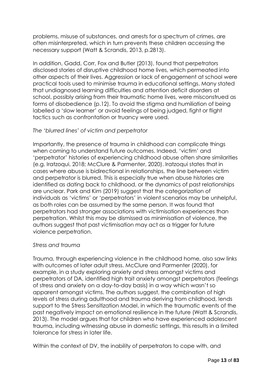problems, misuse of substances, and arrests for a spectrum of crimes, are often misinterpreted, which in turn prevents these children accessing the necessary support (Watt & Scrandis, 2013, p.2813).

In addition, Gadd, Corr, Fox and Butler (2013), found that perpetrators disclosed stories of disruptive childhood home lives, which permeated into other aspects of their lives. Aggression or lack of engagement at school were practical tools used to minimise trauma in educational settings. Many stated that undiagnosed learning difficulties and attention deficit disorders at school, possibly arising from their traumatic home lives, were misconstrued as forms of disobedience (p.12). To avoid the stigma and humiliation of being labelled a 'slow learner' or avoid feelings of being judged, fight or flight tactics such as confrontation or truancy were used.

#### *The 'blurred lines' of victim and perpetrator*

Importantly, the presence of trauma in childhood can complicate things when coming to understand future outcomes. Indeed, 'victim' and 'perpetrator' histories of experiencing childhood abuse often share similarities (e.g. Iratzoqui, 2018; McClure & Parmenter, 2020). Iratzoqui states that in cases where abuse is bidirectional in relationships, the line between victim and perpetrator is blurred. This is especially true when abuse histories are identified as dating back to childhood, or the dynamics of past relationships are unclear. Park and Kim (2019) suggest that the categorization of individuals as 'victims' or 'perpetrators' in violent scenarios may be unhelpful, as both roles can be assumed by the same person. It was found that perpetrators had stronger associations with victimisation experiences than perpetration. Whilst this may be dismissed as minimisation of violence, the authors suggest that past victimisation may act as a trigger for future violence perpetration.

#### *Stress and trauma*

Trauma, through experiencing violence in the childhood home, also saw links with outcomes of later adult stress. McClure and Parmenter (2020), for example, in a study exploring anxiety and stress amongst victims and perpetrators of DA, identified high trait anxiety amongst perpetrators (feelings of stress and anxiety on a day-to-day basis) in a way which wasn't so apparent amongst victims. The authors suggest, the combination of high levels of stress during adulthood and trauma deriving from childhood, lends support to the Stress Sensitization Model, in which the traumatic events of the past negatively impact on emotional resilience in the future (Watt & Scrandis, 2013). The model argues that for children who have experienced adolescent trauma, including witnessing abuse in domestic settings, this results in a limited tolerance for stress in later life.

Within the context of DV, the inability of perpetrators to cope with, and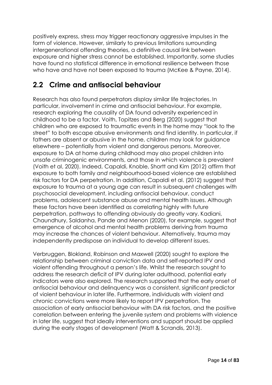positively express, stress may trigger reactionary aggressive impulses in the form of violence. However, similarly to previous limitations surrounding intergenerational offending theories, a definitive causal link between exposure and higher stress cannot be established. Importantly, some studies have found no statistical difference in emotional resilience between those who have and have not been exposed to trauma (McKee & Payne, 2014).

### **2.2 Crime and antisocial behaviour**

Research has also found perpetrators display similar life trajectories. In particular, involvement in crime and antisocial behaviour. For example, research exploring the causality of DA found adversity experienced in childhood to be a factor. Voith, Topitzes and Berg (2020) suggest that children who are exposed to traumatic events in the home may "look to the street" to both escape abusive environments and find identity. In particular, if fathers are absent or abusive in the home, children may look for guidance elsewhere – potentially from violent and dangerous persons. Moreover, exposure to DA at home during childhood may also propel children into unsafe criminogenic environments, and those in which violence is prevalent (Voith et al, 2020). Indeed, Capaldi, Knoble, Shortt and Kim (2012) affirm that exposure to both family *and* neighbourhood-based violence are established risk factors for DA perpetration. In addition, Capaldi et al. (2012) suggest that exposure to trauma at a young age can result in subsequent challenges with psychosocial development, including antisocial behaviour, conduct problems, adolescent substance abuse and mental health issues. Although these factors have been identified as correlating highly with future perpetration, pathways to offending obviously do greatly vary. Kadiani, Chaundhury, Saldanha, Pande and Menon (2020), for example, suggest that emergence of alcohol and mental health problems deriving from trauma may increase the chances of violent behaviour. Alternatively, trauma may independently predispose an individual to develop different issues.

Verbruggen, Blokland, Robinson and Maxwell (2020) sought to explore the relationship between criminal conviction data and self-reported IPV and violent offending throughout a person's life. Whilst the research sought to address the research deficit of IPV during later adulthood, potential early indicators were also explored. The research supported that the early onset of antisocial behaviour and delinquency was a consistent, significant predictor of violent behaviour in later life. Furthermore, individuals with violent and chronic convictions were more likely to report IPV perpetration. The association of early antisocial behaviour with DA risk factors, and the positive correlation between entering the juvenile system and problems with violence in later life, suggest that ideally interventions and support should be applied during the early stages of development (Watt & Scrandis, 2013).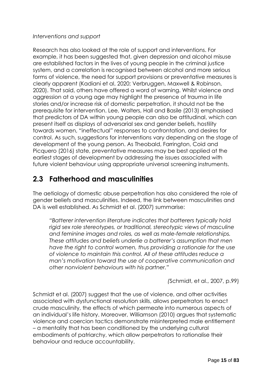#### *Interventions and support*

Research has also looked at the role of support and interventions. For example, it has been suggested that, given depression and alcohol misuse are established factors in the lives of young people in the criminal justice system, and a correlation is recognised between alcohol and more serious forms of violence, the need for support provisions or preventative measures is clearly apparent (Kadiani et al, 2020; Verbruggen, Maxwell & Robinson, 2020). That said, others have offered a word of warning. Whilst violence and aggression at a young age may highlight the presence of trauma in life stories and/or increase risk of domestic perpetration, it should not be the prerequisite for intervention. Lee, Walters, Hall and Basile (2013) emphasised that predictors of DA within young people can also be attitudinal, which can present itself as displays of adversarial sex and gender beliefs, hostility towards women, "ineffectual" responses to confrontation, and desires for control. As such, suggestions for interventions vary depending on the stage of development of the young person. As Theobald, Farrington, Coid and Picquero (2016) state, preventative measures may be best applied at the earliest stages of development by addressing the issues associated with future violent behaviour using appropriate universal screening instruments.

### **2.3 Fatherhood and masculinities**

The aetiology of domestic abuse perpetration has also considered the role of gender beliefs and masculinities. Indeed, the link between masculinities and DA is well established. As Schmidt et al. (2007) summarise:

*"Batterer intervention literature indicates that batterers typically hold rigid sex role stereotypes, or traditional, stereotypic views of masculine and feminine images and roles, as well as male-female relationships. These attitudes and beliefs underlie a batterer's assumption that men have the right to control women, thus providing a rationale for the use of violence to maintain this control. All of these attitudes reduce a man's motivation toward the use of cooperative communication and other nonviolent behaviours with his partner."* 

*(*Schmidt, et al., 2007, p.99)

Schmidt et al. (2007) suggest that the use of violence, and other activities associated with dysfunctional resolution skills, allows perpetrators to enact crude masculinity, the effects of which permeate into numerous aspects of an individual's life history. Moreover, Williamson (2010) argues that systematic violence and coercion tactics demonstrate misinterpreted male entitlement – a mentality that has been conditioned by the underlying cultural embodiments of patriarchy, which allow perpetrators to rationalise their behaviour and reduce accountability.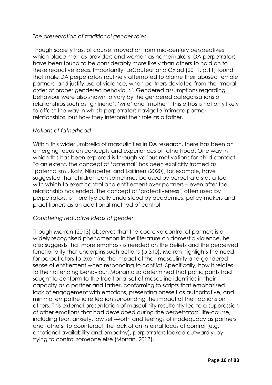#### *The preservation of traditional gender roles*

Though society has, of course, moved on from mid-century perspectives which place men as providers and women as homemakers, DA perpetrators have been found to be considerably more likely than others to hold on to these reductive ideas. Importantly, LeCouteur and Oxlad (2011, p.11) found that male DA perpetrators routinely attempted to blame their abused female partners, and justify use of violence, when partners deviated from the "moral order of proper gendered behaviour". Gendered assumptions regarding behaviour were also shown to vary by the gendered categorisations of relationships such as 'girlfriend', 'wife' and 'mother'. This ethos is not only likely to affect the way in which perpetrators navigate intimate partner relationships, but how they interpret their role as a father.

#### *Notions of fatherhood*

Within this wider umbrella of masculinities in DA research, there has been an emerging focus on concepts and experiences of fatherhood. One way in which this has been explored is through various motivations for child contact. To an extent, the concept of 'paternal' has been explicitly framed as 'paternalism'. Katz, Nikupeteri and Laitinen (2020), for example**,** have suggested that children can sometimes be used by perpetrators as a tool with which to exert control and entitlement over partners – even after the relationship has ended. The concept of 'protectiveness', often used by perpetrators, is more typically understood by academics, policy-makers and practitioners as an additional method of control.

#### *Countering reductive ideas of gender*

Though Morran (2013) observes that the coercive control of partners is a widely recognised phenomenon in the literature on domestic violence, he also suggests that more emphasis is needed on the beliefs and the perceived functionality that underpins such actions (p.310). Morran highlights the need for perpetrators to examine the impact of their masculinity and gendered sense of entitlement when responding to conflict. Specifically, how it relates to their offending behaviour. Morran also determined that participants had sought to conform to the traditional set of masculine identities in their capacity as a partner and father, conforming to scripts that emphasised: lack of engagement with emotions, presenting oneself as authoritative, and minimal empathetic reflection surrounding the impact of their actions on others. This external presentation of masculinity resultantly led to a suppression of other emotions that had developed during the perpetrators' life-course, including fear, anxiety, low self-worth and feelings of inadequacy as partners and fathers. To counteract the lack of an internal locus of control (e.g. emotional availability and empathy), perpetrators looked outwardly, by trying to control someone else (Morran, 2013).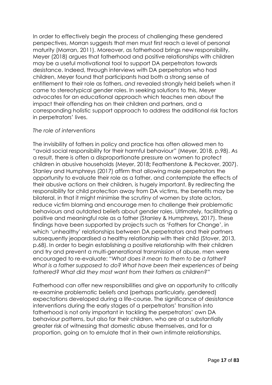In order to effectively begin the process of challenging these gendered perspectives, Morran suggests that men must first reach a level of personal maturity (Morran, 2011). Moreover, as fatherhood brings new responsibility, Meyer (2018) argues that fatherhood and positive relationships with children may be a useful motivational tool to support DA perpetrators towards desistance. Indeed, through interviews with DA perpetrators who had children, Meyer found that participants had both a strong sense of entitlement to their role as fathers, *and* revealed strongly held beliefs when it came to stereotypical gender roles. In seeking solutions to this, Meyer advocates for an educational approach which teaches men about the impact their offending has on their children and partners, and a corresponding holistic support approach to address the additional risk factors in perpetrators' lives.

#### *The role of interventions*

The invisibility of fathers in policy and practice has often allowed men to "avoid social responsibility for their harmful behaviour" (Meyer, 2018, p.98). As a result, there is often a disproportionate pressure on women to protect children in abusive households (Meyer, 2018**;** Featherstone & Peckover, 2007). Stanley and Humphreys (2017) affirm that allowing male perpetrators the opportunity to evaluate their role as a father, and contemplate the effects of their abusive actions on their children, is hugely important. By redirecting the responsibility for child protection away from DA victims, the benefits may be bilateral, in that it might minimise the scrutiny of women by state actors, reduce victim blaming and encourage men to challenge their problematic behaviours and outdated beliefs about gender roles. Ultimately, facilitating a positive and meaningful role as a father (Stanley & Humphreys, 2017). These findings have been supported by projects such as 'Fathers for Change', in which 'unhealthy' relationships between DA perpetrators and their partners subsequently jeopardised a healthy relationship with their child (Stover, 2013, p.68). In order to begin establishing a positive relationship with their children and try and prevent a multi-generational transmission of abuse, men were encouraged to re-evaluate: "*What does it mean to them to be a father? What is a father supposed to do? What have been their experiences of being fathered? What did they most want from their fathers as children?"*

Fatherhood can offer new responsibilities and give an opportunity to critically re-examine problematic beliefs and (perhaps particularly, gendered) expectations developed during a life-course. The significance of desistance interventions during the early stages of a perpetrators' transition into fatherhood is not only important in tackling the perpetrators' own DA behaviour patterns, but also for their children, who are at a substantially greater risk of witnessing that domestic abuse themselves, and for a proportion, going on to emulate that in their own intimate relationships.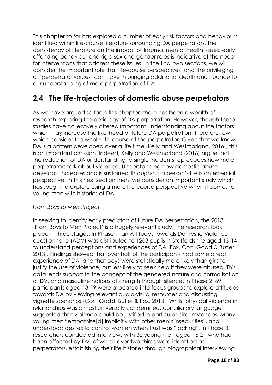This chapter so far has explored a number of early risk factors and behaviours identified within life-course literature surrounding DA perpetrators. The consistency of literature on the impact of trauma, mental health issues, early offending behaviour and rigid sex and gender roles is indicative of the need for interventions that address these issues. In the final two sections, we will consider the important role that life-course perspectives, and the privileging of 'perpetrator voices' can have in bringing additional depth and nuance to our understanding of male perpetration of DA.

### **2.4 The life-trajectories of domestic abuse perpetrators**

As we have argued so far in this chapter, there has been a wealth of research exploring the aetiology of DA perpetration. However, though these studies have collectively offered important understanding about the factors which may increase the likelihood of future DA perpetration, there are few which consider the whole life-course of the perpetrator. Given that we know DA is a pattern developed over a life time (Kelly and Westmarland, 2016), this is an important omission. Indeed, Kelly and Westmarland (2016) argue that the reduction of DA understanding to single incidents reproduces how male perpetrators talk about violence. Understanding how domestic abuse develops, increases and is sustained throughout a person's life is an essential perspective. In this next section then, we consider an important study which has sought to explore using a more life-course perspective when it comes to young men with histories of DA.

#### *From Boys to Men Project*

In seeking to identify early predictors of future DA perpetration, the 2013 'From Boys to Men Project' is a hugely relevant study. The research took place in three stages. In Phase 1, an Attitudes towards Domestic Violence questionnaire (ADV) was distributed to 1203 pupils in Staffordshire aged 13-14 to understand perceptions and experiences of DA (Fox, Corr, Gadd & Butler, 2013). Findings showed that over half of the participants had some direct experience of DA, and that boys were statistically more likely than girls to justify the use of violence, but less likely to seek help if they were abused. This data lends support to the concept of the gendered nature and normalisation of DV, and masculine notions of strength through silence. In Phase 2, 69 participants aged 13-19 were allocated into focus groups to explore attitudes towards DA by viewing relevant audio-visual resources and discussing vignette scenarios (Corr, Gadd, Butler & Fox, 2013). Whilst physical violence in relationships was almost universally condemned, conciliatory language suggested that violence could be justified in particular circumstances. Many young men "empathise[d] implicitly with other men's insecurities", and understood desires to control women when trust was "lacking". In Phase 3, researchers conducted interviews with 30 young men aged 16-21 who had been affected by DV, of which over two thirds were identified as perpetrators, establishing their life histories through biographical interviewing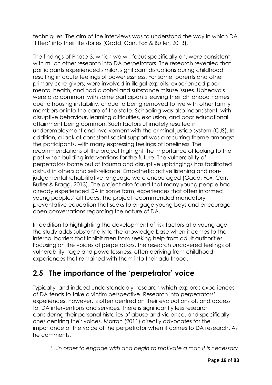techniques. The aim of the interviews was to understand the way in which DA 'fitted' into their life stories (Gadd, Corr, Fox & Butler, 2013).

The findings of Phase 3, which we will focus specifically on, were consistent with much other research into DA perpetrators. The research revealed that participants experienced similar, significant disruptions during childhood, resulting in acute feelings of powerlessness. For some, parents and other primary care-givers, were involved in illegal exploits, experienced poor mental health, and had alcohol and substance misuse issues. Upheavals were also common, with some participants leaving their childhood homes due to housing instability, or due to being removed to live with other family members or into the care of the state. Schooling was also inconsistent, with disruptive behaviour, learning difficulties, exclusion, and poor educational attainment being common. Such factors ultimately resulted in underemployment and involvement with the criminal justice system (CJS). In addition, a lack of consistent social support was a recurring theme amongst the participants, with many expressing feelings of loneliness. The recommendations of the project highlight the importance of looking to the past when building interventions for the future. The vulnerability of perpetrators borne out of trauma and disruptive upbringings has facilitated distrust in others and self-reliance. Empathetic active listening and nonjudgemental rehabilitative language were encouraged (Gadd, Fox, Corr, Butler & Bragg, 2013). The project also found that many young people had already experienced DA in some form, experiences that often informed young peoples' attitudes. The project recommended mandatory preventative education that seeks to engage young boys and encourage open conversations regarding the nature of DA.

In addition to highlighting the development of risk factors at a young age, the study adds substantially to the knowledge base when it comes to the internal barriers that inhibit men from seeking help from adult authorities. Focusing on the voices of perpetrators, the research uncovered feelings of vulnerability, rage and powerlessness, often deriving from childhood experiences that remained with them into their adulthood.

### **2.5 The importance of the 'perpetrator' voice**

Typically, and indeed understandably, research which explores experiences of DA tends to take a victim perspective. Research into perpetrators' experiences, however, is often centred on their evaluations of, and access to, DA interventions and services. There is significantly less research considering their personal histories of abuse and violence, and specifically ones centring their voices. Morran (2011) directly advocates for the importance of the voice of the perpetrator when it comes to DA research. As he comments,

*"…in order to engage with and begin to motivate a man it is necessary*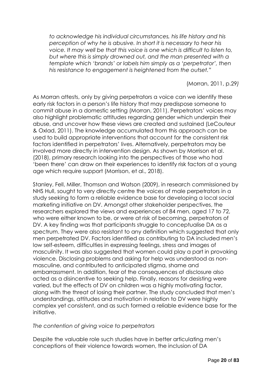*to acknowledge his individual circumstances, his life history and his perception of why he is abusive. In short it is necessary to hear his voice. It may well be that this voice is one which is difficult to listen to, but where this is simply drowned out, and the man presented with a template which 'brands' or labels him simply as a 'perpetrator', then his resistance to engagement is heightened from the outset."*

(Morran, 2011, p.29*)*

As Morran attests, only by giving perpetrators a voice can we identify these early risk factors in a person's life history that may predispose someone to commit abuse in a domestic setting (Morran, 2011). Perpetrators' voices may also highlight problematic attitudes regarding gender which underpin their abuse, and uncover how these views are created and sustained (LeCouteur & Oxlad, 2011). The knowledge accumulated from this approach can be used to build appropriate interventions that account for the consistent risk factors identified in perpetrators' lives. Alternatively, perpetrators may be involved more directly in intervention design. As shown by Morrison et al. (2018), primary research looking into the perspectives of those who had 'been there' can draw on their experiences to identify risk factors at a young age which require support (Morrison, et al., 2018).

Stanley, Fell, Miller, Thomson and Watson (2009), in research commissioned by NHS Hull, sought to very directly centre the voices of male perpetrators in a study seeking to form a reliable evidence base for developing a local social marketing initiative on DV. Amongst other stakeholder perspectives, the researchers explored the views and experiences of 84 men, aged 17 to 72, who were either known to be, or were at risk of becoming, perpetrators of DV. A key finding was that participants struggle to conceptualise DA as a spectrum. They were also resistant to any definition which suggested that only men perpetrated DV. Factors identified as contributing to DA included men's low self-esteem, difficulties in expressing feelings, stress and images of masculinity. It was also suggested that women could play a part in provoking violence. Disclosing problems and asking for help was understood as nonmasculine, and contributed to anticipated stigma, shame and embarrassment. In addition, fear of the consequences of disclosure also acted as a disincentive to seeking help. Finally, reasons for desisting were varied, but the effects of DV on children was a highly motivating factor, along with the threat of losing their partner. The study concluded that men's understandings, attitudes and motivation in relation to DV were highly complex yet consistent, and as such formed a reliable evidence base for the initiative.

#### *The contention of giving voice to perpetrators*

Despite the valuable role such studies have in better articulating men's conceptions of their violence towards women, the inclusion of DA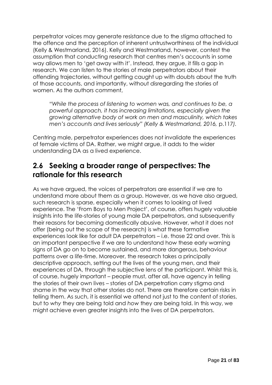perpetrator voices may generate resistance due to the stigma attached to the offence and the perception of inherent untrustworthiness of the individual (Kelly & Westmarland, 2016). Kelly and Westmarland, however, contest the assumption that conducting research that centres men's accounts in some way allows men to 'get away with it'. Instead, they argue, it fills a gap in research. We can listen to the stories of male perpetrators about their offending trajectories, without getting caught up with doubts about the truth of those accounts, and importantly, without disregarding the stories of women. As the authors comment,

*"While the process of listening to women was, and continues to be, a powerful approach, it has increasing limitations, especially given the growing alternative body of work on men and masculinity, which takes men's accounts and lives seriously" (Kelly & Westmarland, 2016,* p.117*).*

Centring male, perpetrator experiences does not invalidate the experiences of female victims of DA. Rather, we might argue, it adds to the wider understanding DA as a lived experience.

### **2.6 Seeking a broader range of perspectives: The rationale for this research**

As we have argued, the voices of perpetrators are essential if we are to understand more about them as a group. However, as we have also argued, such research is sparse, especially when it comes to looking at lived experience. The 'From Boys to Men Project', of course, offers hugely valuable insights into the life-stories of young male DA perpetrators, and subsequently their reasons for becoming domestically abusive. However, what it does not offer (being out the scope of the research) is what these formative experiences look like for adult DA perpetrators – i.e. those 22 and over. This is an important perspective if we are to understand how these early warning signs of DA go on to become sustained, and more dangerous, behaviour patterns over a life-time. Moreover, the research takes a principally descriptive approach, setting out the lives of the young men, and their experiences of DA, through the subjective lens of the participant. Whilst this is, of course, hugely important – people must, after all, have agency in telling the stories of their own lives – stories of DA perpetration carry stigma and shame in the way that other stories do not. There are therefore certain risks in telling them. As such, it is essential we attend not just to the content of stories, but to *why* they are being told and *how* they are being told. In this way, we might achieve even greater insights into the lives of DA perpetrators.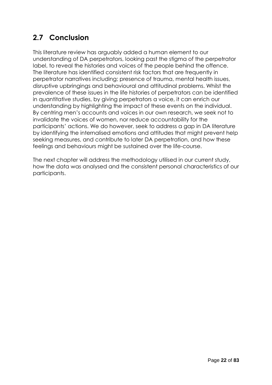### **2.7 Conclusion**

This literature review has arguably added a human element to our understanding of DA perpetrators, looking past the stigma of the perpetrator label, to reveal the histories and voices of the people behind the offence. The literature has identified consistent risk factors that are frequently in perpetrator narratives including; presence of trauma, mental health issues, disruptive upbringings and behavioural and attitudinal problems. Whilst the prevalence of these issues in the life histories of perpetrators can be identified in quantitative studies, by giving perpetrators a voice, it can enrich our understanding by highlighting the impact of these events on the individual. By centring men's accounts and voices in our own research, we seek not to invalidate the voices of women, nor reduce accountability for the participants' actions. We do however, seek to address a gap in DA literature by identifying the internalised emotions and attitudes that might prevent help seeking measures, and contribute to later DA perpetration, and how these feelings and behaviours might be sustained over the life-course.

The next chapter will address the methodology utilised in our current study, how the data was analysed and the consistent personal characteristics of our participants.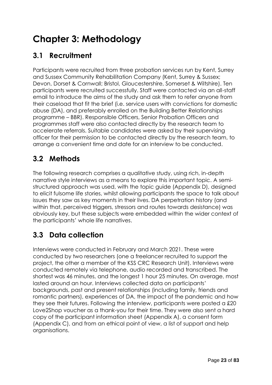# **Chapter 3: Methodology**

### **3.1 Recruitment**

Participants were recruited from three probation services run by Kent, Surrey and Sussex Community Rehabilitation Company (Kent, Surrey & Sussex; Devon, Dorset & Cornwall; Bristol, Gloucestershire, Somerset & Wiltshire). Ten participants were recruited successfully. Staff were contacted via an all-staff email to introduce the aims of the study and ask them to refer anyone from their caseload that fit the brief (i.e. service users with convictions for domestic abuse (DA), and preferably enrolled on the Building Better Relationships programme – BBR). Responsible Officers, Senior Probation Officers and programmes staff were also contacted directly by the research team to accelerate referrals. Suitable candidates were asked by their supervising officer for their permission to be contacted directly by the research team, to arrange a convenient time and date for an interview to be conducted.

### **3.2 Methods**

The following research comprises a qualitative study, using rich, in-depth narrative style interviews as a means to explore this important topic. A semistructured approach was used, with the topic guide (Appendix D), designed to elicit fulsome life stories, whilst allowing participants the space to talk about issues they saw as key moments in their lives. DA perpetration history (and within that, perceived triggers, stressors and routes towards desistance) was obviously key, but these subjects were embedded within the wider context of the participants' whole life narratives.

### **3.3 Data collection**

Interviews were conducted in February and March 2021. These were conducted by two researchers (one a freelancer recruited to support the project, the other a member of the KSS CRC Research Unit). Interviews were conducted remotely via telephone, audio recorded and transcribed. The shortest was 46 minutes, and the longest 1 hour 25 minutes. On average, most lasted around an hour. Interviews collected data on participants' backgrounds, past and present relationships (including family, friends and romantic partners), experiences of DA, the impact of the pandemic and how they see their futures. Following the interview, participants were posted a £20 Love2Shop voucher as a thank-you for their time. They were also sent a hard copy of the participant information sheet (Appendix A), a consent form (Appendix C), and from an ethical point of view, a list of support and help organisations.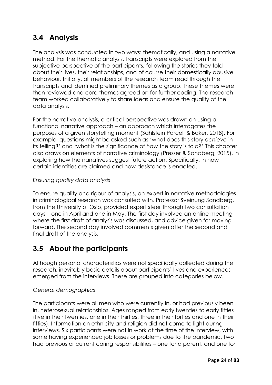### **3.4 Analysis**

The analysis was conducted in two ways: thematically, and using a narrative method. For the thematic analysis, transcripts were explored from the subjective perspective of the participants, following the stories they told about their lives, their relationships, and of course their domestically abusive behaviour. Initially, all members of the research team read through the transcripts and identified preliminary themes as a group. These themes were then reviewed and core themes agreed on for further coding. The research team worked collaboratively to share ideas and ensure the quality of the data analysis.

For the narrative analysis, a critical perspective was drawn on using a functional narrative approach – an approach which interrogates the purposes of a given storytelling moment (Sahlstein Parcell & Baker, 2018). For example, questions might be asked such as 'what does this story *achieve* in its telling?' and 'what is the significance of *how* the story is told?' This chapter also draws on elements of narrative criminology (Presser & Sandberg, 2015), in exploring how the narratives suggest future action. Specifically, in how certain identities are claimed and how desistance is enacted.

### *Ensuring quality data analysis*

To ensure quality and rigour of analysis, an expert in narrative methodologies in criminological research was consulted with. Professor Sveinung Sandberg, from the University of Oslo, provided expert steer through two consultation days – one in April and one in May. The first day involved an online meeting where the first draft of analysis was discussed, and advice given for moving forward. The second day involved comments given after the second and final draft of the analysis.

### **3.5 About the participants**

Although personal characteristics were not specifically collected during the research, inevitably basic details about participants' lives and experiences emerged from the interviews. These are grouped into categories below.

### *General demographics*

The participants were all men who were currently in, or had previously been in, heterosexual relationships. Ages ranged from early twenties to early fifties (five in their twenties, one in their thirties, three in their forties and one in their fifties). Information on ethnicity and religion did not come to light during interviews. Six participants were not in work at the time of the interview, with some having experienced job losses or problems due to the pandemic. Two had previous or current caring responsibilities – one for a parent, and one for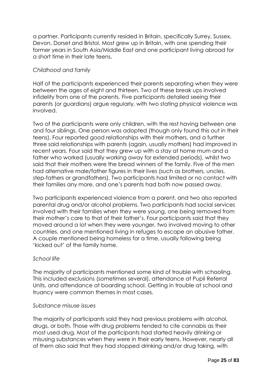a partner. Participants currently resided in Britain, specifically Surrey, Sussex, Devon, Dorset and Bristol. Most grew up in Britain, with one spending their former years in South Asia/Middle East and one participant living abroad for a short time in their late teens.

#### *Childhood and family*

Half of the participants experienced their parents separating when they were between the ages of eight and thirteen. Two of these break ups involved infidelity from one of the parents. Five participants detailed seeing their parents (or guardians) argue regularly, with two stating physical violence was involved.

Two of the participants were only children, with the rest having between one and four siblings. One person was adopted (though only found this out in their teens). Four reported good relationships with their mothers, and a further three said relationships with parents (again, usually mothers) had improved in recent years. Four said that they grew up with a stay at home mum and a father who worked (usually working away for extended periods), whilst two said that their mothers were the bread winners of the family. Five of the men had alternative male/father figures in their lives (such as brothers, uncles, step-fathers or grandfathers). Two participants had limited or no contact with their families any more, and one's parents had both now passed away.

Two participants experienced violence from a parent, and two also reported parental drug and/or alcohol problems. Two participants had social services involved with their families when they were young, one being removed from their mother's care to that of their father's. Four participants said that they moved around a lot when they were younger, two involved moving to other countries, and one mentioned living in refuges to escape an abusive father. A couple mentioned being homeless for a time, usually following being 'kicked out' of the family home.

#### *School life*

The majority of participants mentioned some kind of trouble with schooling. This included exclusions (sometimes several), attendance at Pupil Referral Units, and attendance at boarding school. Getting in trouble at school and truancy were common themes in most cases.

#### *Substance misuse issues*

The majority of participants said they had previous problems with alcohol, drugs, or both. Those with drug problems tended to cite cannabis as their most used drug. Most of the participants had started heavily drinking or misusing substances when they were in their early teens. However, nearly all of them also said that they had stopped drinking and/or drug taking, with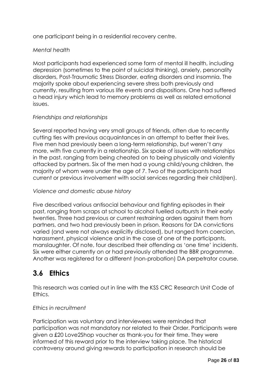one participant being in a residential recovery centre.

#### *Mental health*

Most participants had experienced some form of mental ill health, including depression (sometimes to the point of suicidal thinking), anxiety, personality disorders, Post-Traumatic Stress Disorder, eating disorders and insomnia. The majority spoke about experiencing severe stress both previously and currently, resulting from various life events and dispositions. One had suffered a head injury which lead to memory problems as well as related emotional issues.

### *Friendships and relationships*

Several reported having very small groups of friends, often due to recently cutting ties with previous acquaintances in an attempt to better their lives. Five men had previously been a long-term relationship, but weren't any more, with five currently in a relationship. Six spoke of issues with relationships in the past, ranging from being cheated on to being physically and violently attacked by partners. Six of the men had a young child/young children, the majority of whom were under the age of 7. Two of the participants had current or previous involvement with social services regarding their child(ren).

#### *Violence and domestic abuse history*

Five described various antisocial behaviour and fighting episodes in their past, ranging from scraps at school to alcohol fuelled outbursts in their early twenties. Three had previous or current restraining orders against them from partners, and two had previously been in prison. Reasons for DA convictions varied (and were not always explicitly disclosed), but ranged from coercion, harassment, physical violence and in the case of one of the participants, manslaughter. Of note, four described their offending as 'one time' incidents. Six were either currently on or had previously attended the BBR programme. Another was registered for a different (non-probation) DA perpetrator course.

### **3.6 Ethics**

This research was carried out in line with the KSS CRC Research Unit Code of Ethics.

#### *Ethics in recruitment*

Participation was voluntary and interviewees were reminded that participation was not mandatory nor related to their Order. Participants were given a £20 Love2Shop voucher as thank-you for their time. They were informed of this reward prior to the interview taking place. The historical controversy around giving rewards to participation in research should be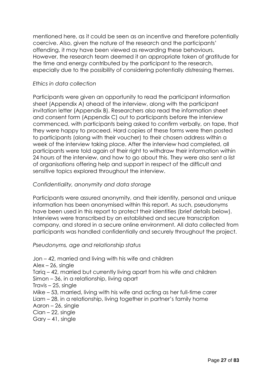mentioned here, as it could be seen as an incentive and therefore potentially coercive. Also, given the nature of the research and the participants' offending, it may have been viewed as rewarding these behaviours. However, the research team deemed it an appropriate token of gratitude for the time and energy contributed by the participant to the research, especially due to the possibility of considering potentially distressing themes.

#### *Ethics in data collection*

Participants were given an opportunity to read the participant information sheet (Appendix A) ahead of the interview, along with the participant invitation letter (Appendix B). Researchers also read the information sheet and consent form (Appendix C) out to participants before the interview commenced, with participants being asked to confirm verbally, on tape, that they were happy to proceed. Hard copies of these forms were then posted to participants (along with their voucher) to their chosen address within a week of the interview taking place. After the interview had completed, all participants were told again of their right to withdraw their information within 24 hours of the interview, and how to go about this. They were also sent a list of organisations offering help and support in respect of the difficult and sensitive topics explored throughout the interview.

#### *Confidentiality, anonymity and data storage*

Participants were assured anonymity, and their identity, personal and unique information has been anonymised within this report. As such, pseudonyms have been used in this report to protect their identities (brief details below). Interviews were transcribed by an established and secure transcription company, and stored in a secure online environment. All data collected from participants was handled confidentially and securely throughout the project.

#### *Pseudonyms, age and relationship status*

Jon – 42, married and living with his wife and children

Alex – 26, single

Tariq – 42, married but currently living apart from his wife and children

Simon – 36, in a relationship, living apart

- Travis 25, single
- Mike 53, married, living with his wife and acting as her full-time carer
- Liam 28, in a relationship, living together in partner's family home
- Aaron 26, single
- Cian 22, single
- Gary 41, single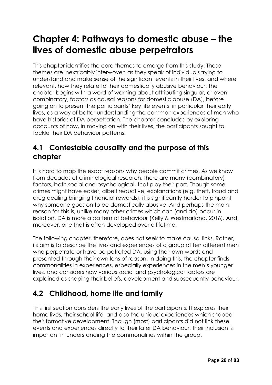# **Chapter 4: Pathways to domestic abuse – the lives of domestic abuse perpetrators**

This chapter identifies the core themes to emerge from this study. These themes are inextricably interwoven as they speak of individuals trying to understand and make sense of the significant events in their lives, and where relevant, how they relate to their domestically abusive behaviour. The chapter begins with a word of warning about attributing singular, or even combinatory, factors as causal reasons for domestic abuse (DA), before going on to present the participants' key life events, in particular their early lives, as a way of better understanding the common experiences of men who have histories of DA perpetration. The chapter concludes by exploring accounts of how, in moving on with their lives, the participants sought to tackle their DA behaviour patterns.

### **4.1 Contestable causality and the purpose of this chapter**

It is hard to map the exact reasons why people commit crimes. As we know from decades of criminological research, there are many (combinatory) factors, both social and psychological, that play their part. Though some crimes might have easier, albeit reductive, explanations (e.g. theft, fraud and drug dealing bringing financial rewards), it is significantly harder to pinpoint why someone goes on to be domestically abusive. And perhaps the main reason for this is, unlike many other crimes which can (and do) occur in isolation, DA is more a pattern of behaviour (Kelly & Westmarland, 2016). And, moreover, one that is often developed over a lifetime.

The following chapter, therefore, does not seek to make causal links. Rather, its aim is to describe the lives and experiences of a group of ten different men who perpetrate or have perpetrated DA, using their own words and presented through their own lens of reason. In doing this, the chapter finds commonalities in experiences, especially experiences in the men's younger lives, and considers how various social and psychological factors are explained as shaping their beliefs, development and subsequently behaviour.

### **4.2 Childhood, home life and family**

This first section considers the early lives of the participants. It explores their home lives, their school life, and also the unique experiences which shaped their formative development. Though (most) participants did not link these events and experiences directly to their later DA behaviour, their inclusion is important in understanding the commonalities within the group.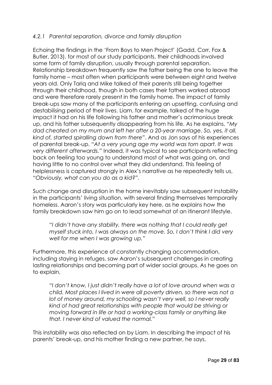### *4.2.1 Parental separation, divorce and family disruption*

Echoing the findings in the 'From Boys to Men Project' (Gadd, Corr, Fox & Butler, 2013), for most of our study participants, their childhoods involved some form of family disruption, usually through parental separation. Relationship breakdown frequently saw the father being the one to leave the family home – most often when participants were between eight and twelve years old. Only Tariq and Mike talked of their parents still being together through their childhood, though in both cases their fathers worked abroad and were therefore rarely present in the family home. The impact of family break-ups saw many of the participants entering an upsetting, confusing and destabilising period of their lives. Liam, for example, talked of the huge impact it had on his life following his father and mother's acrimonious break up, and his father subsequently disappearing from his life. As he explains, *"My dad cheated on my mum and left her after a 20-year marriage. So, yes, it all, kind of, started spiralling down from there"*. And as Jon says of his experiences of parental break-up, "*At a very young age my world was torn apart. It was very different afterwards."* Indeed, it was typical to see participants reflecting back on feeling too young to understand most of what was going on, and having little to no control over what they did understand. This feeling of helplessness is captured strongly in Alex's narrative as he repeatedly tells us, "*Obviously, what can you do as a kid?".* 

Such change and disruption in the home inevitably saw subsequent instability in the participants' living situation, with several finding themselves temporarily homeless. Aaron's story was particularly key here, as he explains how the family breakdown saw him go on to lead somewhat of an itinerant lifestyle.

*"I didn't have any stability, there was nothing that I could really get myself stuck into, I was always on the move. So, I don't think I did very well for me when I was growing up."*

Furthermore, this experience of constantly changing accommodation, including staying in refuges, saw Aaron's subsequent challenges in creating lasting relationships and becoming part of wider social groups. As he goes on to explain,

*"I don't know, I just didn't really have a lot of love around when was a child. Most places I lived in were all poverty driven, so there was not a lot of money around, my schooling wasn't very well, so I never really kind of had great relationships with people that would be striving or moving forward in life or had a working-class family or anything like that. I never kind of valued the normal."* 

This instability was also reflected on by Liam. In describing the impact of his parents' break-up, and his mother finding a new partner, he says,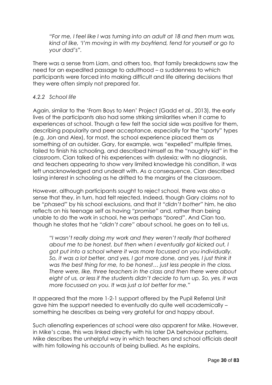*"For me, I feel like I was turning into an adult at 18 and then mum was, kind of like, 'I'm moving in with my boyfriend, fend for yourself or go to your dad's".*

There was a sense from Liam, and others too, that family breakdowns saw the need for an expedited passage to adulthood – a suddenness to which participants were forced into making difficult and life altering decisions that they were often simply not prepared for.

#### *4.2.2 School life*

Again, similar to the 'From Boys to Men' Project (Gadd et al., 2013), the early lives of the participants also had some striking similarities when it came to experiences at school. Though a few felt the social side was positive for them, describing popularity and peer acceptance, especially for the "sporty" types (e.g. Jon and Alex), for most, the school experience placed them as something of an outsider. Gary, for example, was "expelled" multiple times, failed to finish his schooling, and described himself as the "naughty kid" in the classroom. Cian talked of his experiences with dyslexia; with no diagnosis, and teachers appearing to show very limited knowledge his condition, it was left unacknowledged and undealt with. As a consequence, Cian described losing interest in schooling as he drifted to the margins of the classroom.

However, although participants sought to reject school, there was also a sense that they, in turn, had felt rejected. Indeed, though Gary claims not to be *"phased"* by his school exclusions, and that it *"didn't bother"* him, he also reflects on his teenage self as having *"promise"* and, rather than being unable to do the work in school, he was perhaps *"bored"*. And Cian too, though he states that he *"didn't care"* about school, he goes on to tell us,

*"I wasn't really doing my work and they weren't really that bothered about me to be honest, but then when I eventually got kicked out, I got put into a school where it was more focussed on you individually. So, it was a lot better, and yes, I got more done, and yes, I just think it was the best thing for me, to be honest… just less people in the class. There were, like, three teachers in the class and then there were about eight of us, or less if the students didn't decide to turn up. So, yes, it was more focussed on you. It was just a lot better for me."*

It appeared that the more 1-2-1 support offered by the Pupil Referral Unit gave him the support needed to eventually do quite well academically – something he describes as being very grateful for and happy about.

Such alienating experiences at school were also apparent for Mike. However, in Mike's case, this was linked directly with his later DA behaviour patterns. Mike describes the unhelpful way in which teachers and school officials dealt with him following his accounts of being bullied. As he explains,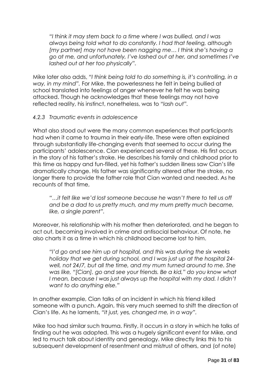*"I think it may stem back to a time where I was bullied, and I was always being told what to do constantly. I had that feeling, although [my partner] may not have been nagging me… I think she's having a go at me, and unfortunately, I've lashed out at her, and sometimes I've lashed out at her too physically".*

Mike later also adds, *"I think being told to do something is, it's controlling, in a way, in my mind".* For Mike, the powerlessness he felt in being bullied at school translated into feelings of anger whenever he felt he was being attacked. Though he acknowledges that these feelings may not have reflected reality, his instinct, nonetheless, was to *"lash out".*

#### *4.2.3 Traumatic events in adolescence*

What also stood out were the many common experiences that participants had when it came to trauma in their early-life. These were often explained through substantially life-changing events that seemed to occur during the participants' adolescence. Cian experienced several of these. His first occurs in the story of his father's stroke. He describes his family and childhood prior to this time as happy and fun-filled, yet his father's sudden illness saw Cian's life dramatically change. His father was significantly altered after the stroke, no longer there to provide the father role that Cian wanted and needed. As he recounts of that time,

*"…it felt like we'd lost someone because he wasn't there to tell us off and be a dad to us pretty much, and my mum pretty much became, like, a single parent".*

Moreover, his relationship with his mother then deteriorated, and he began to act out, becoming involved in crime and antisocial behaviour. Of note, he also charts it as a time in which his childhood became lost to him.

*"I'd go and see him up at hospital, and this was during the six weeks holiday that we get during school, and I was just up at the hospital 24 well, not 24/7, but all the time, and my mum turned around to me. She was like, "[Cian], go and see your friends. Be a kid," do you know what*  I mean, because I was just always up the hospital with my dad. I didn't *want to do anything else."*

In another example, Cian talks of an incident in which his friend killed someone with a punch. Again, this very much seemed to shift the direction of Cian's life. As he laments, *"it just, yes, changed me, in a way".*

Mike too had similar such trauma. Firstly, it occurs in a story in which he talks of finding out he was adopted. This was a hugely significant event for Mike, and led to much talk about identity and genealogy. Mike directly links this to his subsequent development of resentment and mistrust of others, and (of note)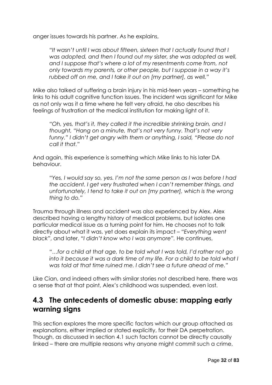anger issues towards his partner. As he explains,

*"It wasn't until I was about fifteen, sixteen that I actually found that I was adopted, and then I found out my sister, she was adopted as well, and I suppose that's where a lot of my resentments come from, not only towards my parents, or other people, but I suppose in a way it's rubbed off on me, and I take it out on [my partner], as well."* 

Mike also talked of suffering a brain injury in his mid-teen years – something he links to his adult cognitive function issues. The incident was significant for Mike as not only was it a time where he felt very afraid, he also describes his feelings of frustration at the medical institution for making light of it.

*"Oh, yes, that's it, they called it the incredible shrinking brain, and I thought, "Hang on a minute, that's not very funny. That's not very funny." I didn't get angry with them or anything, I said, "Please do not call it that."*

And again, this experience is something which Mike links to his later DA behaviour.

*"Yes, I would say so, yes. I'm not the same person as I was before I had the accident. I get very frustrated when I can't remember things, and unfortunately, I tend to take it out on [my partner], which is the wrong thing to do."*

Trauma through illness and accident was also experienced by Alex. Alex described having a lengthy history of medical problems, but isolates one particular medical issue as a turning point for him. He chooses not to talk directly about what it was, yet does explain its impact – *"Everything went black"*, and later, *"I didn't know who I was anymore".* He continues,

*"…for a child at that age, to be told what I was told, I'd rather not go into it because it was a dark time of my life. For a child to be told what I was told at that time ruined me. I didn't see a future ahead of me."*

Like Cian, and indeed others with similar stories not described here, there was a sense that at that point, Alex's childhood was suspended, even lost.

### **4.3 The antecedents of domestic abuse: mapping early warning signs**

This section explores the more specific factors which our group attached as explanations, either implied or stated explicitly, for their DA perpetration. Though, as discussed in section 4.1 such factors cannot be directly causally linked – there are multiple reasons why anyone might commit such a crime,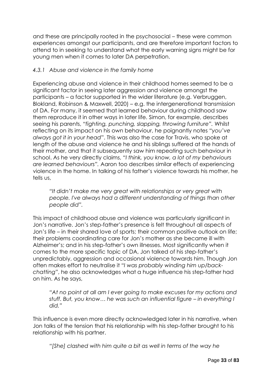and these are principally rooted in the psychosocial – these were common experiences amongst our participants, and are therefore important factors to attend to in seeking to understand what the early warning signs might be for young men when it comes to later DA perpetration.

### *4.3.1 Abuse and violence in the family home*

Experiencing abuse and violence in their childhood homes seemed to be a significant factor in seeing later aggression and violence amongst the participants – a factor supported in the wider literature (e.g. Verbruggen, Blokland, Robinson & Maxwell, 2020) – e.g. the intergenerational transmission of DA. For many, it seemed that learned behaviour during childhood saw them reproduce it in other ways in later life. Simon, for example, describes seeing his parents, *"fighting, punching, slapping, throwing furniture".* Whilst reflecting on its impact on his own behaviour, he poignantly notes *"you've always got it in your head*". This was also the case for Travis, who spoke at length of the abuse and violence he and his siblings suffered at the hands of their mother, and that it subsequently saw him repeating such behaviour in school. As he very directly claims, *"I think, you know, a lot of my behaviours are learned behaviours".* Aaron too describes similar effects of experiencing violence in the home. In talking of his father's violence towards his mother, he tells us,

*"It didn't make me very great with relationships or very great with people. I've always had a different understanding of things than other people did".*

This impact of childhood abuse and violence was particularly significant in Jon's narrative. Jon's step-father's presence is felt throughout all aspects of Jon's life – in their shared love of sports; their common positive outlook on life; their problems coordinating care for Jon's mother as she became ill with Alzheimer's; and in his step-father's own illnesses. Most significantly when it comes to the more specific topic of DA, Jon talked of his step-father's unpredictably, aggression and occasional violence towards him. Though Jon often makes effort to neutralise it *"I was probably winding him up/backchatting"*, he also acknowledges what a huge influence his step-father had on him. As he says,

*"At no point at all am I ever going to make excuses for my actions and stuff. But, you know… he was such an influential figure – in everything I did."*

This influence is even more directly acknowledged later in his narrative, when Jon talks of the tension that his relationship with his step-father brought to his relationship with his partner.

*"[She] clashed with him quite a bit as well in terms of the way he*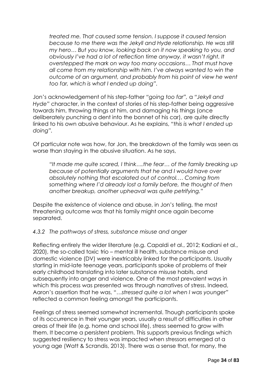*treated me. That caused some tension. I suppose it caused tension because to me there was the Jekyll and Hyde relationship. He was still my hero… But you know, looking back on it now speaking to you, and obviously I've had a lot of reflection time anyway, it wasn't right. It overstepped the mark on way too many occasions… That must have all come from my relationship with him. I've always wanted to win the outcome of an argument, and probably from his point of view he went too far, which is what I ended up doing".*

Jon's acknowledgement of his step-father *"going too far",* a *"Jekyll and Hyde"* character, in the context of stories of his step-father being aggressive towards him, throwing things at him, and damaging his things (once deliberately punching a dent into the bonnet of his car), are quite directly linked to his own abusive behaviour. As he explains, *"this is what I ended up doing".*

Of particular note was how, for Jon, the breakdown of the family was seen as worse than staying in the abusive situation. As he says,

*"It made me quite scared, I think….the fear… of the family breaking up because of potentially arguments that he and I would have over absolutely nothing that escalated out of control.… Coming from something where I'd already lost a family before, the thought of then another breakup, another upheaval was quite petrifying."*

Despite the existence of violence and abuse, in Jon's telling, the most threatening outcome was that his family might once again become separated.

#### *4.3.2 The pathways of stress, substance misuse and anger*

Reflecting entirely the wider literature (e.g. Capaldi et al., 2012; Kadiani et al., 2020), the so-called toxic trio – mental ill health, substance misuse and domestic violence (DV) were inextricably linked for the participants. Usually starting in mid-late teenage years, participants spoke of problems of their early childhood translating into later substance misuse habits, and subsequently into anger and violence. One of the most prevalent ways in which this process was presented was through narratives of stress. Indeed, Aaron's assertion that he was, "*…stressed quite a lot when I was younger"*  reflected a common feeling amongst the participants.

Feelings of stress seemed somewhat incremental. Though participants spoke of its occurrence in their younger years, usually a result of difficulties in other areas of their life (e.g. home and school life), stress seemed to grow with them. It became a persistent problem. This supports previous findings which suggested resiliency to stress was impacted when stressors emerged at a young age (Watt & Scrandis, 2013). There was a sense that, for many, the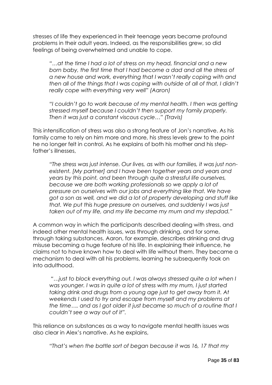stresses of life they experienced in their teenage years became profound problems in their adult years. Indeed, as the responsibilities grew, so did feelings of being overwhelmed and unable to cope.

*"…at the time I had a lot of stress on my head, financial and a new born baby, the first time that I had become a dad and all the stress of a new house and work, everything that I wasn't really coping with and then all of the things that I was coping with outside of all of that, I didn't really cope with everything very well" (Aaron)*

*"I couldn't go to work because of my mental health. I then was getting stressed myself because I couldn't then support my family properly. Then it was just a constant viscous cycle…" (Travis)*

This intensification of stress was also a strong feature of Jon's narrative. As his family came to rely on him more and more, his stress levels grew to the point he no longer felt in control. As he explains of both his mother and his stepfather's illnesses,

*"The stress was just intense. Our lives, as with our families, it was just nonexistent. [My partner] and I have been together years and years and years by this point, and been through quite a stressful life ourselves, because we are both working professionals so we apply a lot of pressure on ourselves with our jobs and everything like that. We have got a son as well, and we did a lot of property developing and stuff like that. We put this huge pressure on ourselves, and suddenly I was just taken out of my life, and my life became my mum and my stepdad."*

A common way in which the participants described dealing with stress, and indeed other mental health issues, was through drinking, and for some, through taking substances. Aaron, for example, describes drinking and drug misuse becoming a huge feature of his life. In explaining their influence, he claims not to have known how to deal with life without them. They became a mechanism to deal with all his problems, learning he subsequently took on into adulthood.

*"…just to block everything out. I was always stressed quite a lot when I was younger. I was in quite a lot of stress with my mum, I just started taking drink and drugs from a young age just to get away from it. At weekends I used to try and escape from myself and my problems at the time…. and as I got older it just became so much of a routine that I couldn't see a way out of it".* 

This reliance on substances as a way to navigate mental health issues was also clear in Alex's narrative. As he explains,

*"That's when the battle sort of began because it was 16, 17 that my*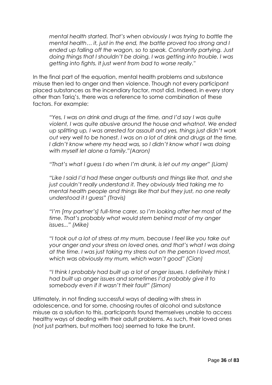*mental health started. That's when obviously I was trying to battle the mental health… it, just in the end, the battle proved too strong and I ended up falling off the wagon, so to speak. Constantly partying. Just doing things that I shouldn't be doing. I was getting into trouble. I was getting into fights. It just went from bad to worse really."*

In the final part of the equation, mental health problems and substance misuse then led to anger and then violence. Though not every participant placed substances as the incendiary factor, most did. Indeed, in every story other than Tariq's, there was a reference to some combination of these factors. For example:

*"Yes, I was on drink and drugs at the time, and I'd say I was quite violent, I was quite abusive around the house and whatnot. We ended up splitting up, I was arrested for assault and yes, things just didn't work out very well to be honest. I was on a lot of drink and drugs at the time,*  I didn't know where my head was, so I didn't know what I was doing *with myself let alone a family."(Aaron)*

*"That's what I guess I do when I'm drunk, is let out my anger" (Liam)*

*"Like I said I'd had these anger outbursts and things like that, and she just couldn't really understand it. They obviously tried taking me to mental health people and things like that but they just, no one really understood it I guess" (Travis)*

*"I'm [my partner's] full-time carer, so I'm looking after her most of the time. That's probably what would stem behind most of my anger issues..." (Mike)*

*"I took out a lot of stress at my mum, because I feel like you take out your anger and your stress on loved ones, and that's what I was doing at the time. I was just taking my stress out on the person I loved most, which was obviously my mum, which wasn't good" (Cian)*

*"I think I probably had built up a lot of anger issues. I definitely think I had built up anger issues and sometimes I'd probably give it to somebody even if it wasn't their fault" (Simon)*

Ultimately, in not finding successful ways of dealing with stress in adolescence, and for some, choosing routes of alcohol and substance misuse as a solution to this, participants found themselves unable to access healthy ways of dealing with their adult problems. As such, their loved ones (not just partners, but mothers too) seemed to take the brunt.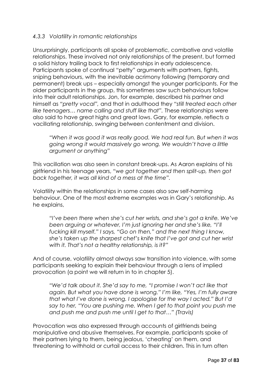#### *4.3.3 Volatility in romantic relationships*

Unsurprisingly, participants all spoke of problematic, combative and volatile relationships. These involved not only relationships of the present, but formed a solid history trailing back to first relationships in early adolescence. Participants spoke of continual "petty" arguments with partners, fights, sniping behaviours, with the inevitable acrimony following (temporary and permanent) break ups – especially amongst the younger participants. For the older participants in the group, this sometimes saw such behaviours follow into their adult relationships. Jon, for example, described his partner and himself as *"pretty vocal",* and that in adulthood they *"still treated each other like teenagers… name calling and stuff like that".* These relationships were also said to have great highs and great lows. Gary, for example, reflects a vacillating relationship, swinging between contentment and division.

*"When it was good it was really good. We had real fun. But when it was going wrong it would massively go wrong. We wouldn't have a little argument or anything"*

This vacillation was also seen in constant break-ups. As Aaron explains of his girlfriend in his teenage years, *"we got together and then split-up, then got back together, it was all kind of a mess at the time".*

Volatility within the relationships in some cases also saw self-harming behaviour. One of the most extreme examples was in Gary's relationship. As he explains,

*"I've been there when she's cut her wrists, and she's got a knife. We've been arguing or whatever, I'm just ignoring her and she's like, "I'll fucking kill myself." I says, "Go on then," and the next thing I know, she's taken up the sharpest chef's knife that I've got and cut her wrist with it. That's not a healthy relationship, is it?"* 

And of course, volatility almost always saw transition into violence, with some participants seeking to explain their behaviour through a lens of implied provocation (a point we will return in to in chapter 5).

*"We'd talk about it. She'd say to me, "I promise I won't act like that again. But what you have done is wrong." I'm like, "Yes, I'm fully aware that what I've done is wrong. I apologise for the way I acted." But I'd say to her, "You are pushing me. When I get to that point you push me and push me and push me until I get to that…" (Travis)*

Provocation was also expressed through accounts of girlfriends being manipulative and abusive themselves. For example, participants spoke of their partners lying to them, being jealous, 'cheating' on them, and threatening to withhold or curtail access to their children. This in turn often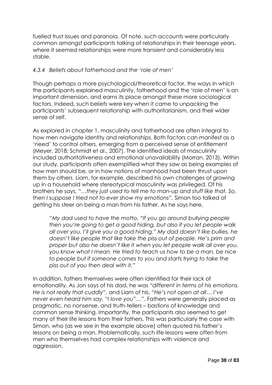fuelled trust issues and paranoia. Of note, such accounts were particularly common amongst participants talking of relationships in their teenage years, where it seemed relationships were more transient and considerably less stable.

#### *4.3.4 Beliefs about fatherhood and the 'role of men'*

Though perhaps a more psychological/theoretical factor, the ways in which the participants explained masculinity, fatherhood and the 'role of men' is an important dimension, and earns its place amongst these more sociological factors. Indeed, such beliefs were key when it came to unpacking the participants' subsequent relationship with authoritarianism, and their wider sense of self.

As explored in chapter 1, masculinity and fatherhood are often integral to how men navigate identity and relationships. Both factors can manifest as a 'need' to control others, emerging from a perceived sense of entitlement (Meyer, 2018; Schmidt et al., 2007). The identified ideals of masculinity included authoritativeness and emotional unavailability (Morran, 2013). Within our study, participants often exemplified what they saw as being examples of how men should be, or in how notions of manhood had been thrust upon them by others. Liam, for example, described his own challenges of growing up in a household where stereotypical masculinity was privileged. Of his brothers he says, *"…they just used to tell me to man-up and stuff like that. So, then I suppose I tried not to ever show my emotions".* Simon too talked of getting his steer on being a man from his father. As he says here,

*"My dad used to have the motto, "If you go around bullying people then you're going to get a good hiding, but also if you let people walk all over you, I'll give you a good hiding." My dad doesn't like bullies, he doesn't like people that like take the piss out of people. He's prim and proper but also he doesn't like it when you let people walk all over you, you know what I mean. He tried to teach us how to be a man, be nice to people but if someone comes to you and starts trying to take the piss out of you then deal with it."*

In addition, fathers themselves were often identified for their lack of emotionality. As Jon says of his dad, he was *"different in terms of his emotions. He is not really that cuddly",* and Liam of his, *"He's not open at all… I've never even heard him say, "I love you"…"*. Fathers were generally placed as pragmatic, no nonsense, and truth-tellers – bastions of knowledge and common sense thinking. Importantly, the participants also seemed to get many of their life lessons from their fathers. This was particularly the case with Simon, who (as we see in the example above) often quoted his father's lessons on being a man. Problematically, such life lessons were often from men who themselves had complex relationships with violence and aggression.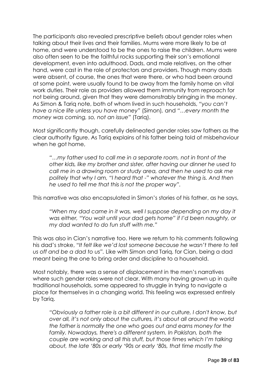The participants also revealed prescriptive beliefs about gender roles when talking about their lives and their families. Mums were more likely to be at home, and were understood to be the ones to raise the children. Mums were also often seen to be the faithful rocks supporting their son's emotional development, even into adulthood. Dads, and male relatives, on the other hand, were cast in the role of protectors and providers. Though many dads were absent, of course, the ones that were there, or who had been around at some point, were usually found to be away from the family home on vital work duties. Their role as providers allowed them immunity from reproach for not being around, given that they were demonstrably bringing in the money. As Simon & Tariq note, both of whom lived in such households, *"you can't have a nice life unless you have money"* (Simon)*,* and *"…every month the money was coming, so, not an issue"* (Tariq).

Most significantly though, carefully delineated gender roles saw fathers as the clear authority figure. As Tariq explains of his father being told of misbehaviour when he got home,

*"…my father used to call me in a separate room, not in front of the other kids, like my brother and sister, after having our dinner he used to call me in a drawing room or study area, and then he used to ask me politely that why I am, "I heard that -" whatever the thing is. And then he used to tell me that this is not the proper way".*

This narrative was also encapsulated in Simon's stories of his father, as he says,

*"When my dad came in it was, well I suppose depending on my day it was either, "You wait until your dad gets home" if I'd been naughty, or my dad wanted to do fun stuff with me."*

This was also in Cian's narrative too. Here we return to his comments following his dad's stroke, "*It felt like we'd lost someone because he wasn't there to tell us off and be a dad to us".* Like with Simon and Tariq, for Cian, being a dad meant being the one to bring order and discipline to a household.

Most notably, there was a sense of displacement in the men's narratives where such gender roles were not clear. With many having grown up in quite traditional households, some appeared to struggle in trying to navigate a place for themselves in a changing world. This feeling was expressed entirely by Tariq.

*"Obviously a father role is a bit different in our culture, I don't know, but over all, it's not only about the cultures, it's about all around the world the father is normally the one who goes out and earns money for the*  family. Nowadays, there's a different system. In Pakistan, both the *couple are working and all this stuff, but those times which I'm talking about, the late '80s or early '90s or early '80s, that time mostly the*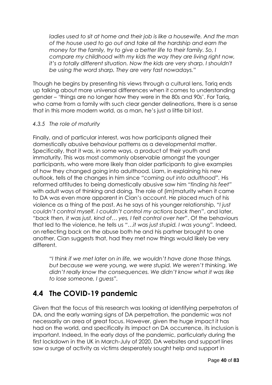*ladies used to sit at home and their job is like a housewife. And the man of the house used to go out and take all the hardship and earn the money for the family, try to give a better life to their family. So, I compare my childhood with my kids the way they are living right now, it's a totally different situation. Now the kids are very sharp. I shouldn't be using the word sharp. They are very fast nowadays."* 

Though he begins by presenting his views through a cultural lens, Tariq ends up talking about more universal differences when it comes to understanding gender – 'things are no longer how they were in the 80s and 90s'. For Tariq, who came from a family with such clear gender delineations, there is a sense that in this more modern world, as a man, he's just a little bit lost.

#### *4.3.5 The role of maturity*

Finally, and of particular interest, was how participants aligned their domestically abusive behaviour patterns as a developmental matter. Specifically, that it was, in some ways, a product of their youth and immaturity. This was most commonly observable amongst the younger participants, who were more likely than older participants to give examples of how they changed going into adulthood. Liam, in explaining his new outlook, tells of the changes in him since *"coming out into adulthood".* His reformed attitudes to being domestically abusive saw him *"finding his feet"*  with adult ways of thinking and doing*.* The role of (im)maturity when it came to DA was even more apparent in Cian's account. He placed much of his violence as a thing of the past. As he says of his younger relationship, "*I just couldn't control myself. I couldn't control my actions back then"*, and later, *"back then, it was just, kind of… yes, I felt control over her"*. Of the behaviours that led to the violence, he tells us *"…it was just stupid. I was young".* Indeed, on reflecting back on the abuse both he and his partner brought to one another, Cian suggests that, had they met now things would likely be very different.

*"I think if we met later on in life, we wouldn't have done those things, but because we were young, we were stupid. We weren't thinking. We*  didn't really know the consequences. We didn't know what it was like *to lose someone, I guess".*

### **4.4 The COVID-19 pandemic**

Given that the focus of this research was looking at identifying perpetrators of DA, and the early warning signs of DA perpetration, the pandemic was not necessarily an area of great focus. However, given the huge impact it has had on the world, and specifically its impact on DA occurrence, its inclusion is important. Indeed, In the early days of the pandemic, particularly during the first lockdown in the UK in March-July of 2020, DA websites and support lines saw a surge of activity as victims desperately sought help and support in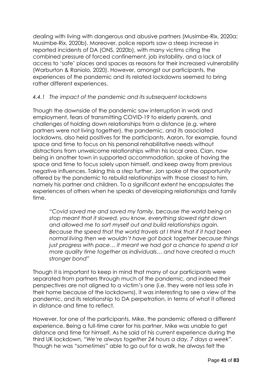dealing with living with dangerous and abusive partners (Musimbe-Rix, 2020a; Musimbe-Rix, 2020b). Moreover, police reports saw a steep increase in reported incidents of DA (ONS, 2020b), with many victims citing the combined pressure of forced confinement, job instability, and a lack of access to 'safe' places and spaces as reasons for their increased vulnerability (Warburton & Raniolo, 2020). However, amongst our participants, the experiences of the pandemic and its related lockdowns seemed to bring rather different experiences.

#### *4.4.1 The impact of the pandemic and its subsequent lockdowns*

Though the downside of the pandemic saw interruption in work and employment, fears of transmitting COVID-19 to elderly parents, and challenges of holding down relationships from a distance (e.g. where partners were not living together), the pandemic, and its associated lockdowns, also held positives for the participants. Aaron, for example, found space and time to focus on his personal rehabilitative needs without distractions from unwelcome relationships within his local area. Cian, now being in another town in supported accommodation, spoke of having the space and time to focus solely upon himself, and keep away from previous negative influences. Taking this a step further, Jon spoke of the opportunity offered by the pandemic to rebuild relationships with those closest to him, namely his partner and children. To a significant extent he encapsulates the experiences of others when he speaks of developing relationships and family time.

*"Covid saved me and saved my family, because the world being on stop meant that it slowed, you know, everything slowed right down and allowed me to sort myself out and build relationships again. Because the speed that the world travels at I think that if it had been normal living then we wouldn't have got back together because things just progress with pace… it meant we had got a chance to spend a lot more quality time together as individuals… and have created a much stronger bond"*

Though it is important to keep in mind that many of our participants were separated from partners through much of the pandemic, and indeed their perspectives are not aligned to a victim's one (i.e. they were not less safe in their home because of the lockdowns), it was interesting to see a view of the pandemic, and its relationship to DA perpetration, in terms of what it offered in distance and time to reflect.

However, for one of the participants, Mike, the pandemic offered a different experience. Being a full-time carer for his partner, Mike was unable to get distance and time for himself. As he said of his current experience during the third UK lockdown, *"We're always together 24 hours a day, 7 days a week".*  Though he was *"sometimes"* able to go out for a walk, he always felt the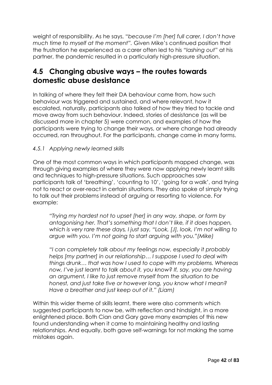weight of responsibility. As he says, "*because I'm [her] full carer, I don't have much time to myself at the moment".* Given Mike's continued position that the frustration he experienced as a carer often led to his *"lashing out"* at his partner, the pandemic resulted in a particularly high-pressure situation.

## **4.5 Changing abusive ways – the routes towards domestic abuse desistance**

In talking of where they felt their DA behaviour came from, how such behaviour was triggered and sustained, and where relevant, how it escalated, naturally, participants also talked of how they tried to tackle and move away from such behaviour. Indeed, stories of desistance (as will be discussed more in chapter 5) were common, and examples of how the participants were trying to change their ways, or where change had already occurred, ran throughout. For the participants, change came in many forms.

#### *4.5.1 Applying newly learned skills*

One of the most common ways in which participants mapped change, was through giving examples of where they were now applying newly learnt skills and techniques to high-pressure situations. Such approaches saw participants talk of 'breathing', 'counting to 10', 'going for a walk', and trying not to react or over-react in certain situations. They also spoke of simply trying to talk out their problems instead of arguing or resorting to violence. For example:

*"Trying my hardest not to upset [her] in any way, shape, or form by antagonising her. That's something that I don't like, if it does happen, which is very rare these days, I just say, "Look, [J], look, I'm not willing to argue with you. I'm not going to start arguing with you."(Mike)* 

*"I can completely talk about my feelings now, especially it probably helps [my partner] in our relationship… I suppose I used to deal with things drunk… that was how I used to cope with my problems. Whereas now, I've just learnt to talk about it, you know? If, say, you are having an argument, I like to just remove myself from the situation to be honest, and just take five or however long, you know what I mean? Have a breather and just keep out of it." (Liam)*

Within this wider theme of skills learnt, there were also comments which suggested participants to now be, with reflection and hindsight, in a more enlightened place. Both Cian and Gary gave many examples of this new found understanding when it came to maintaining healthy and lasting relationships. And equally, both gave self-warnings for not making the same mistakes again.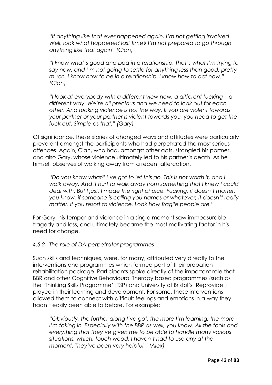*"If anything like that ever happened again, I'm not getting involved. Well, look what happened last time? I'm not prepared to go through anything like that again" (Cian)*

*"I know what's good and bad in a relationship. That's what I'm trying to say now, and I'm not going to settle for anything less than good, pretty much. I know how to be in a relationship. I know how to act now." (Cian)*

*"I look at everybody with a different view now, a different fucking – a different way. We're all precious and we need to look out for each other. And fucking violence is not the way. If you are violent towards your partner or your partner is violent towards you, you need to get the fuck out. Simple as that." (Gary)*

Of significance, these stories of changed ways and attitudes were particularly prevalent amongst the participants who had perpetrated the most serious offences. Again, Cian, who had, amongst other acts, strangled his partner, and also Gary, whose violence ultimately led to his partner's death. As he himself observes of walking away from a recent altercation,

*"Do you know what? I've got to let this go. This is not worth it, and I walk away. And it hurt to walk away from something that I knew I could deal with. But I just, I made the right choice. Fucking, it doesn't matter, you know, if someone is calling you names or whatever, it doesn't really matter. If you resort to violence. Look how fragile people are."* 

For Gary, his temper and violence in a single moment saw immeasurable tragedy and loss, and ultimately became the most motivating factor in his need for change.

#### *4.5.2 The role of DA perpetrator programmes*

Such skills and techniques, were, for many, attributed very directly to the interventions and programmes which formed part of their probation rehabilitation package. Participants spoke directly of the important role that BBR and other Cognitive Behavioural Therapy based programmes (such as the 'Thinking Skills Programme' (TSP) and University of Bristol's 'Reprovide') played in their learning and development. For some, these interventions allowed them to connect with difficult feelings and emotions in a way they hadn't easily been able to before. For example:

*"Obviously, the further along I've got, the more I'm learning, the more I'm taking in. Especially with the BBR as well, you know. All the tools and everything that they've given me to be able to handle many various situations, which, touch wood, I haven't had to use any at the moment. They've been very helpful." (Alex)*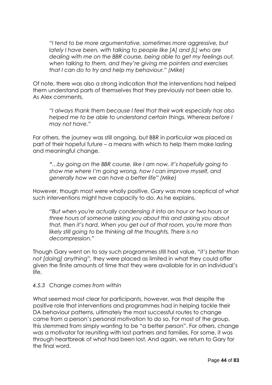*"I tend to be more argumentative, sometimes more aggressive, but lately I have been, with talking to people like [A] and [L] who are dealing with me on the BBR course, being able to get my feelings out, when talking to them, and they're giving me pointers and exercises that I can do to try and help my behaviour." (Mike)*

Of note, there was also a strong indication that the interventions had helped them understand parts of themselves that they previously not been able to. As Alex comments,

*"I always thank them because I feel that their work especially has also helped me to be able to understand certain things. Whereas before I may not have."*

For others, the journey was still ongoing, but BBR in particular was placed as part of their hopeful future – a means with which to help them make lasting and meaningful change.

*"…by going on the BBR course, like I am now, it's hopefully going to show me where I'm going wrong, how I can improve myself, and generally how we can have a better life" (Mike)*

However, though most were wholly positive, Gary was more sceptical of what such interventions might have capacity to do. As he explains,

*"But when you're actually condensing it into an hour or two hours or three hours of someone asking you about this and asking you about that, then it's hard. When you get out of that room, you're more than likely still going to be thinking all the thoughts. There is no decompression."*

Though Gary went on to say such programmes still had value, "*it's better than not [doing] anything",* they were placed as limited in what they could offer given the finite amounts of time that they were available for in an individual's life.

#### *4.5.3 Change comes from within*

What seemed most clear for participants, however, was that despite the positive role that interventions and programmes had in helping tackle their DA behaviour patterns, ultimately the most successful routes to change came from a person's personal motivation to do so. For most of the group, this stemmed from simply wanting to be "a better person". For others, change was a motivator for reuniting with lost partners and families. For some, it was through heartbreak of what had been lost. And again, we return to Gary for the final word.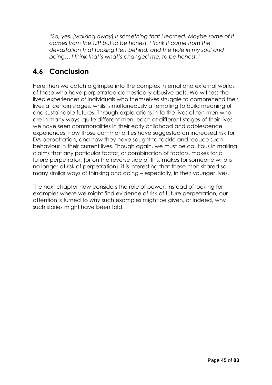*"So, yes, [walking away] is something that I learned. Maybe some of it comes from the TSP but to be honest, I think it came from the devastation that fucking I left behind, and the hole in my soul and being… I think that's what's changed me, to be honest."* 

# **4.6 Conclusion**

Here then we catch a glimpse into the complex internal and external worlds of those who have perpetrated domestically abusive acts. We witness the lived experiences of individuals who themselves struggle to comprehend their lives at certain stages, whilst simultaneously attempting to build meaningful and sustainable futures. Through explorations in to the lives of ten men who are in many ways, quite different men, each at different stages of their lives, we have seen commonalities in their early childhood and adolescence experiences, how those commonalities have suggested an increased risk for DA perpetration, and how they have sought to tackle and reduce such behaviour in their current lives. Though again, we must be cautious in making claims that any particular factor, or combination of factors, makes for a future perpetrator, (or on the reverse side of this, makes for someone who is no longer at risk of perpetration), it is interesting that these men shared so many similar ways of thinking and doing – especially, in their younger lives.

The next chapter now considers the role of power. Instead of looking for examples where we might find evidence of risk of future perpetration, our attention is turned to *why* such examples might be given, or indeed, why such stories might have been told.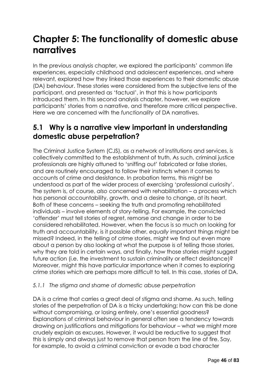# **Chapter 5: The functionality of domestic abuse narratives**

In the previous analysis chapter, we explored the participants' common life experiences, especially childhood and adolescent experiences, and where relevant, explored how they linked those experiences to their domestic abuse (DA) behaviour. These stories were considered from the subjective lens of the participant, and presented as 'factual', in that this is how participants introduced them. In this second analysis chapter, however, we explore participants' stories from a narrative, and therefore more critical perspective. Here we are concerned with the *functionality* of DA narratives.

### **5.1 Why is a narrative view important in understanding domestic abuse perpetration?**

The Criminal Justice System (CJS), as a network of institutions and services, is collectively committed to the establishment of truth. As such, criminal justice professionals are highly attuned to 'sniffing out' fabricated or false stories, and are routinely encouraged to follow their instincts when it comes to accounts of crime and desistance. In probation terms, this might be understood as part of the wider process of exercising 'professional curiosity'. The system is, of course, *also* concerned with rehabilitation – a process which has personal accountability, growth, and a desire to change, at its heart. Both of these concerns – seeking the truth and promoting rehabilitated individuals – involve elements of story-telling. For example, the convicted 'offender' must tell stories of regret, remorse and change in order to be considered rehabilitated. However, when the focus is so much on looking for truth and accountability, is it possible other, *equally* important things might be missed? Indeed, in the telling of crime stories, might we find out even more about a person by also looking at what the purpose is of telling those stories, why they are told in certain ways, and finally, how those stories might suggest future action (i.e. the investment to sustain criminality or effect desistance)? Moreover, might this have particular importance when it comes to exploring crime stories which are perhaps more difficult to tell. In this case, stories of DA.

#### *5.1.1 The stigma and shame of domestic abuse perpetration*

DA is a crime that carries a great deal of stigma and shame. As such, telling stories of the perpetration of DA is a tricky undertaking; how can this be done without compromising, or losing entirely, one's essential goodness? Explanations of criminal behaviour in general often see a tendency towards drawing on justifications and mitigations for behaviour – what we might more crudely explain as excuses. However, it would be reductive to suggest that this is simply and always just to remove that person from the line of fire. Say, for example, to avoid a criminal conviction or evade a bad character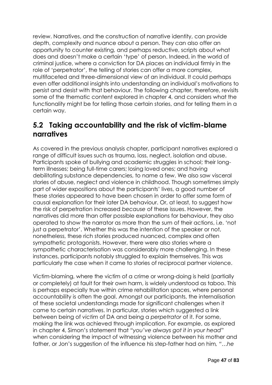review. Narratives, and the construction of narrative identity, can provide depth, complexity and nuance about a person. They can also offer an opportunity to counter existing, and perhaps reductive, scripts about what does and doesn't make a certain 'type' of person. Indeed, in the world of criminal justice, where a conviction for DA places an individual firmly in the role of 'perpetrator', the telling of stories can offer a more complex, multifaceted and three-dimensional view of an individual. It could perhaps even offer additional insights into understanding an individual's motivations to persist and desist with that behaviour. The following chapter, therefore, revisits some of the thematic content explored in chapter 4, and considers what the functionality might be for telling those certain stories, and for telling them in a certain way.

### **5.2 Taking accountability and the risk of victim-blame narratives**

As covered in the previous analysis chapter, participant narratives explored a range of difficult issues such as trauma, loss, neglect, isolation and abuse. Participants spoke of bullying and academic struggles in school; their longterm illnesses; being full-time carers; losing loved ones; and having debilitating substance dependencies, to name a few. We also saw visceral stories of abuse, neglect and violence in childhood. Though sometimes simply part of wider expositions about the participants' lives, a good number of these stories appeared to have been chosen in order to offer some form of causal explanation for their later DA behaviour. Or, at least, to suggest how the risk of perpetration increased *because* of these issues. However, the narratives did more than offer possible explanations for behaviour, they also operated to show the narrator as more than the sum of their actions, i.e. 'not just a perpetrator'. Whether this was the intention of the speaker or not, nonetheless, these rich stories produced nuanced, complex and often sympathetic protagonists. However, there were also stories where a sympathetic characterisation was considerably more challenging. In these instances, participants notably struggled to explain themselves. This was particularly the case when it came to stories of reciprocal partner violence.

Victim-blaming, where the victim of a crime or wrong-doing is held (partially or completely) at fault for their own harm, is widely understood as taboo. This is perhaps especially true within crime rehabilitation spaces, where personal accountability is often the goal. Amongst our participants, the internalisation of these societal understandings made for significant challenges when it came to certain narratives. In particular, stories which suggested a link between being of *victim* of DA and being a *perpetrator* of it. For some, making the link was achieved through implication. For example, as explored in chapter 4, Simon's statement that *"you've always got it in your head*" when considering the impact of witnessing violence between his mother and father, or Jon's suggestion of the influence his step-father had on him*, "…he*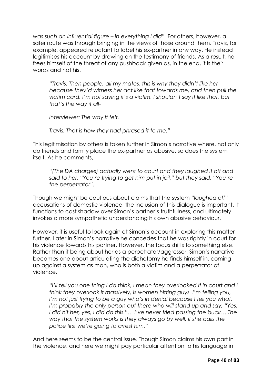*was such an influential figure – in everything I did".* For others, however, a safer route was through bringing in the views of those around them. Travis, for example, appeared reluctant to label his ex-partner in any way. He instead legitimises his account by drawing on the testimony of friends. As a result, he frees himself of the threat of any pushback given as, in the end, it is their words and not his.

*"Travis: Then people, all my mates, this is why they didn't like her because they'd witness her act like that towards me, and then pull the victim card. I'm not saying it's a victim, I shouldn't say it like that, but that's the way it all-*

*Interviewer: The way it felt.*

*Travis: That is how they had phrased it to me."*

This legitimisation by others is taken further in Simon's narrative where, not only do friends and family place the ex-partner as abusive, so does the system itself. As he comments,

*"(The DA charges) actually went to court and they laughed it off and said to her, "You're trying to get him put in jail," but they said, "You're the perpetrator".*

Though we might be cautious about claims that the system *"laughed off"* accusations of domestic violence, the inclusion of this dialogue is important. It functions to cast shadow over Simon's partner's truthfulness, and ultimately invokes a more sympathetic understanding his own abusive behaviour.

However, it is useful to look again at Simon's account in exploring this matter further. Later in Simon's narrative he concedes that he was rightly in court for his violence towards his partner. However, the focus shifts to something else. Rather than it being about her as a perpetrator/aggressor, Simon's narrative becomes one about articulating the dichotomy he finds himself in, coming up against a system as man, who is both a victim and a perpetrator of violence.

*"I'll tell you one thing I do think, I mean they overlooked it in court and I think they overlook it massively, is women hitting guys. I'm telling you, I'm not just trying to be a guy who's in denial because I tell you what, I'm probably the only person out there who will stand up and say, "Yes,* I did hit her, yes, I did do this."... I've never tried passing the buck... The *way that the system works is they always go by well, if she calls the police first we're going to arrest him."*

And here seems to be the central issue. Though Simon claims his own part in the violence, and here we might pay particular attention to his language in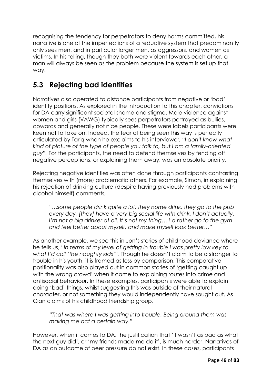recognising the tendency for perpetrators to deny harms committed, his narrative is one of the imperfections of a reductive system that predominantly only sees men, and in particular larger men, as aggressors, and women as victims. In his telling, though they both were violent towards each other, a man will always be seen as the problem because the system is set up that way.

# **5.3 Rejecting bad identities**

Narratives also operated to distance participants from negative or 'bad' identity positions. As explored in the introduction to this chapter, convictions for DA carry significant societal shame and stigma. Male violence against women and girls (VAWG) typically sees perpetrators portrayed as bullies, cowards and generally not nice people. These were labels participants were keen not to take on. Indeed, the fear of being seen this way is perfectly articulated by Tariq when he exclaims to his interviewer, "*I don't know what kind of picture of the type of people you talk to, but I am a family-oriented guy".* For the participants, the need to defend themselves by fending off negative perceptions, or explaining them away, was an absolute priority.

Rejecting negative identities was often done through participants contrasting themselves with (more) problematic others. For example, Simon, in explaining his rejection of drinking culture (despite having previously had problems with alcohol himself) comments,

*"…some people drink quite a lot, they home drink, they go to the pub every day, [they] have a very big social life with drink. I don't actually. I'm not a big drinker at all. It's not my thing… I'd rather go to the gym and feel better about myself, and make myself look better…"* 

As another example, we see this in Jon's stories of childhood deviance where he tells us, "*In terms of my level of getting in trouble I was pretty low key to what I'd call 'the naughty kids'".* Though he doesn't claim to be a stranger to trouble in his youth, it is framed as less by comparison. This comparative positionality was also played out in common stories of 'getting caught up with the wrong crowd' when it came to explaining routes into crime and antisocial behaviour. In these examples, participants were able to explain doing 'bad' things, whilst suggesting this was outside of their natural character, or not something they would independently have sought out. As Cian claims of his childhood friendship group,

*"That was where I was getting into trouble. Being around them was making me act a certain way."*

However, when it comes to DA, the justification that 'it wasn't as bad as what the next guy did', or 'my friends made me do it', is much harder. Narratives of DA as an outcome of peer pressure do not exist. In these cases, participants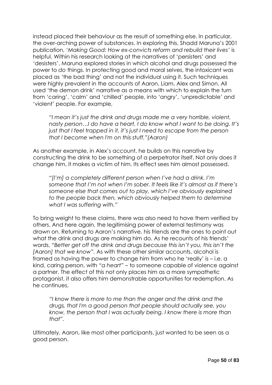instead placed their behaviour as the result of something else. In particular, the over-arching power of substances. In exploring this, Shadd Maruna's 2001 publication, '*Making Good: How ex-convicts reform and rebuild their lives'* is helpful. Within his research looking at the narratives of 'persisters' and 'desisters', Maruna explored stories in which alcohol and drugs possessed the power to *do* things. In protecting good and moral selves, the intoxicant was placed as 'the bad thing' and not the individual using it. Such techniques were highly prevalent in the accounts of Aaron, Liam, Alex and Simon. All used 'the demon drink' narrative as a means with which to explain the turn from 'caring', 'calm' and 'chilled' people, into 'angry', 'unpredictable' and 'violent' people. For example,

*"I mean it's just the drink and drugs made me a very horrible, violent, nasty person…I do have a heart, I do know what I want to be doing. It's just that I feel trapped in it, it's just I need to escape from the person that I become when I'm on this stuff."(Aaron)*

As another example, in Alex's account, he builds on this narrative by constructing the drink to be something of a perpetrator itself. Not only does it change him, it makes a victim of him. Its effect sees him almost possessed.

*"[I'm] a completely different person when I've had a drink. I'm someone that I'm not when I'm sober. It feels like it's almost as if there's someone else that comes out to play, which I've obviously explained to the people back then, which obviously helped them to determine what I was suffering with."*

To bring weight to these claims, there was also need to have them verified by others. And here again, the legitimising power of external testimony was drawn on. Returning to Aaron's narrative, his friends are the ones to point out what the drink and drugs are making him do. As he recounts of his friends' words, "*Better get off the drink and drugs because this isn't you, this isn't the [Aaron] that we know".* As with these other similar accounts, alcohol is framed as having the power to change him from who he 'really' is – i.e. a kind, caring person, with *"a heart"* – to someone capable of violence against a partner. The effect of this not only places him as a more sympathetic protagonist, it also offers him demonstrable opportunities for redemption. As he continues,

*"I know there is more to me than the anger and the drink and the drugs, that I'm a good person that people should actually see, you know, the person that I was actually being. I know there is more than that".*

Ultimately, Aaron, like most other participants, just wanted to be seen as a good person.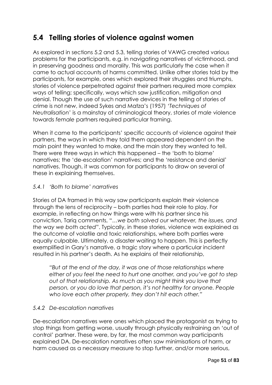## **5.4 Telling stories of violence against women**

As explored in sections 5.2 and 5.3, telling stories of VAWG created various problems for the participants, e.g. in navigating narratives of victimhood, and in preserving goodness and morality. This was particularly the case when it came to actual accounts of harms committed. Unlike other stories told by the participants, for example, ones which explored their struggles and triumphs, stories of violence perpetrated against their partners required more complex ways of telling; specifically, ways which saw justification, mitigation and denial. Though the use of such narrative devices in the telling of stories of crime is not new, indeed Sykes and Matza's (1957) '*Techniques of Neutralisation*' is a mainstay of criminological theory, stories of *male* violence towards *female* partners required particular framing.

When it came to the participants' specific accounts of violence against their partners, the ways in which they told them appeared dependent on the main point they wanted to make, and the main story they wanted to tell. There were three ways in which this happened – the 'both to blame' narratives; the 'de-escalation' narratives; and the 'resistance and denial' narratives. Though, it was common for participants to draw on several of these in explaining themselves.

#### *5.4.1 'Both to blame' narratives*

Stories of DA framed in this way saw participants explain their violence through the lens of reciprocity – both parties had their role to play. For example, in reflecting on how things were with his partner since his conviction, Tariq comments, "…*we both solved our whatever, the issues, and the way we both acted*". Typically, in these stories, violence was explained as the outcome of volatile and toxic relationships, where both parties were equally culpable. Ultimately, a disaster waiting to happen. This is perfectly exemplified in Gary's narrative, a tragic story where a particular incident resulted in his partner's death. As he explains of their relationship,

*"But at the end of the day, it was one of those relationships where either of you feel the need to hurt one another, and you've got to step out of that relationship. As much as you might think you love that person, or you do love that person, it's not healthy for anyone. People who love each other properly, they don't hit each other."*

#### *5.4.2 De-escalation narratives*

De-escalation narratives were ones which placed the protagonist as trying to stop things from getting worse, usually through physically restraining an 'out of control' partner. These were, by far, the most common way participants explained DA. De-escalation narratives often saw minimisations of harm, or harm caused as a necessary measure to stop further, and/or more serious,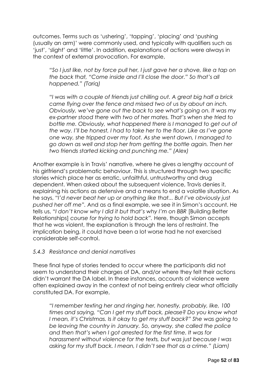outcomes. Terms such as 'ushering', 'tapping', 'placing' and 'pushing (usually an arm)' were commonly used, and typically with qualifiers such as 'just', 'slight' and 'little'. In addition, explanations of actions were always in the context of external provocation. For example,

*"So I just like, not by force pull her, I just gave her a shove, like a tap on the back that, "Come inside and I'll close the door." So that's all happened." (Tariq)*

*"I was with a couple of friends just chilling out. A great big half a brick came flying over the fence and missed two of us by about an inch. Obviously, we've gone out the back to see what's going on. It was my ex-partner stood there with two of her mates. That's when she tried to bottle me. Obviously, what happened there is I managed to get out of the way. I'll be honest, I had to take her to the floor. Like as I've gone one way, she tripped over my foot. As she went down, I managed to go down as well and stop her from getting the bottle again. Then her two friends started kicking and punching me." (Alex)*

Another example is in Travis' narrative, where he gives a lengthy account of his girlfriend's problematic behaviour. This is structured through two specific stories which place her as erratic, unfaithful, untrustworthy and drug dependent. When asked about the subsequent violence, Travis denies it, explaining his actions as defensive and a means to end a volatile situation. As he says, "*I'd never beat her up or anything like that... But I've obviously just pushed her off me".* And as a final example, we see it in Simon's account. He tells us, "*I don't know why I did it but that's why I'm on BBR* [Building Better Relationships] *course for trying to hold back".* Here, though Simon accepts that he was violent, the explanation is through the lens of restraint. The implication being, it could have been a lot worse had he not exercised considerable self-control.

#### *5.4.3 Resistance and denial narratives*

These final type of stories tended to occur where the participants did not seem to understand their charges of DA, and/or where they felt their actions didn't warrant the DA label. In these instances, accounts of violence were often explained away in the context of not being entirely clear what officially constituted DA. For example,

*"I remember texting her and ringing her, honestly, probably, like, 100 times and saying, "Can I get my stuff back, please? Do you know what I mean, it's Christmas. Is it okay to get my stuff back?" She was going to be leaving the country in January. So, anyway, she called the police and then that's when I got arrested for the first time. It was for harassment without violence for the texts, but was just because I was asking for my stuff back. I mean, I didn't see that as a crime." (Liam)*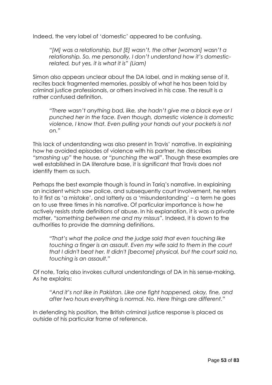Indeed, the very label of 'domestic' appeared to be confusing.

*"[M] was a relationship, but [E] wasn't, the other [woman] wasn't a relationship. So, me personally, I don't understand how it's domesticrelated, but yes, it is what it is" (Liam)*

Simon also appears unclear about the DA label, and in making sense of it, recites back fragmented memories, possibly of what he has been told by criminal justice professionals, or others involved in his case. The result is a rather confused definition.

*"There wasn't anything bad, like, she hadn't give me a black eye or I punched her in the face. Even though, domestic violence is domestic violence, I know that. Even pulling your hands out your pockets is not on."*

This lack of understanding was also present in Travis' narrative. In explaining how he avoided episodes of violence with his partner, he describes *"smashing up"* the house, or *"punching the wall"*. Though these examples are well established in DA literature base, it is significant that Travis does not identify them as such.

Perhaps the best example though is found in Tariq's narrative. In explaining an incident which saw police, and subsequently court involvement, he refers to it first as 'a mistake', and latterly as a 'misunderstanding' – a term he goes on to use three times in his narrative. Of particular importance is how he actively resists state definitions of abuse. In his explanation, it is was a private matter, *"something between me and my missus".* Indeed, it is down to the authorities to provide the damning definitions.

*"That's what the police and the judge said that even touching like touching a finger is an assault. Even my wife said to them in the court that I didn't beat her. It didn't [become] physical, but the court said no, touching is an assault."*

Of note, Tariq also invokes cultural understandings of DA in his sense-making. As he explains:

*"And it's not like in Pakistan. Like one fight happened, okay, fine, and after two hours everything is normal. No. Here things are different."*

In defending his position, the British criminal justice response is placed as outside of his particular frame of reference.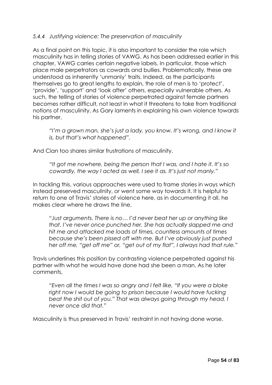#### *5.4.4 Justifying violence: The preservation of masculinity*

As a final point on this topic, it is also important to consider the role which masculinity has in telling stories of VAWG. As has been addressed earlier in this chapter, VAWG carries certain negative labels. In particular, those which place male perpetrators as cowards and bullies. Problematically, these are understood as inherently 'unmanly' traits. Indeed, as the participants themselves go to great lengths to explain, the role of men is to 'protect', 'provide', 'support' and 'look after' others, especially vulnerable others. As such, the telling of stories of violence perpetrated against female partners becomes rather difficult, not least in what it threatens to take from traditional notions of masculinity. As Gary laments in explaining his own violence towards his partner,

*"I'm a grown man, she's just a lady, you know. It's wrong, and I know it is, but that's what happened".*

And Cian too shares similar frustrations of masculinity.

*"It got me nowhere, being the person that I was, and I hate it. It's so cowardly, the way I acted as well, I see it as. It's just not manly."* 

In tackling this, various approaches were used to frame stories in ways which instead preserved masculinity, *or* went some way towards it. It is helpful to return to one of Travis' stories of violence here, as in documenting it all, he makes clear where he draws the line.

*"Just arguments. There is no… I'd never beat her up or anything like that. I've never once punched her. She has actually slapped me and hit me and attacked me loads of times, countless amounts of times because she's been pissed off with me. But I've obviously just pushed her off me, "get off me" or, "get out of my flat", I always had that rule.*"

Travis underlines this position by contrasting violence perpetrated against his partner with what he would have done had she been a man. As he later comments,

*"Even all the times I was so angry and I felt like, "If you were a bloke*  right now I would be going to prison because I would have fucking *beat the shit out of you." That was always going through my head. I never once did that."*

Masculinity is thus preserved in Travis' restraint in not having done worse.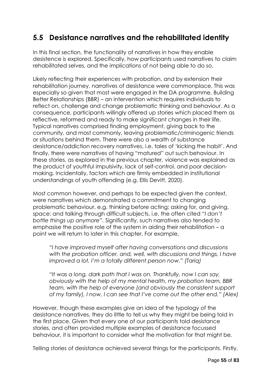# **5.5 Desistance narratives and the rehabilitated identity**

In this final section, the functionality of narratives in how they enable desistence is explored. Specifically, how participants used narratives to claim rehabilitated selves, and the implications of not being able to do so.

Likely reflecting their experiences with probation, and by extension their rehabilitation journey, narratives of desistance were commonplace. This was especially so given that most were engaged in the DA programme, Building Better Relationships (BBR) – an intervention which requires individuals to reflect on, challenge and change problematic thinking and behaviour. As a consequence, participants willingly offered up stories which placed them as reflective, reformed and ready to make significant changes in their life. Typical narratives comprised finding employment, giving back to the community, and most commonly, leaving problematic/criminogenic friends or situations behind them. There were also a wealth of substance desistance/addiction recovery narratives, i.e. tales of 'kicking the habit'. And finally, there were narratives of having "matured" out such behaviour. In these stories, as explored in the previous chapter, violence was explained as the product of youthful impulsivity, lack of self-control, and poor decisionmaking. Incidentally, factors which are firmly embedded in institutional understandings of youth offending (e.g. Ellis Devitt, 2020).

Most common however, and perhaps to be expected given the context, were narratives which demonstrated a commitment to changing problematic behaviour, e.g. thinking before acting; asking for, and giving, space; and talking through difficult subjects, i.e. the often cited *"I don't bottle things up anymore".* Significantly, such narratives also tended to emphasise the positive role of the system in aiding their rehabilitation – a point we will return to later in this chapter. For example,

*"I have improved myself after having conversations and discussions with the probation officer, and, well, with discussions and things, I have improved a lot, I'm a totally different person now." (Tariq)*

*"It was a long, dark path that I was on. Thankfully, now I can say, obviously with the help of my mental health, my probation team, BBR team, with the help of everyone (and obviously the consistent support of my family), I now, I can see that I've come out the other end." (Alex)*

However, though these examples give an idea of the typology of the desistance narratives, they do little to tell us why they might be being told in the first place. Given that every one of our participants told desistance stories, and often provided multiple examples of desistance focussed behaviour, it is important to consider what the motivation for that might be.

Telling stories of desistance achieved several things for the participants. Firstly,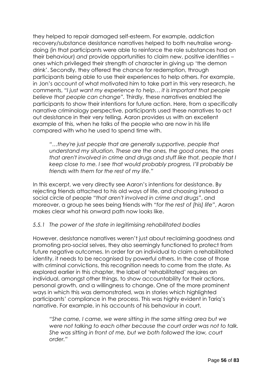they helped to repair damaged self-esteem. For example, addiction recovery/substance desistance narratives helped to both neutralise wrongdoing (in that participants were able to reinforce the role substances had on their behaviour) *and* provide opportunities to claim new, positive identities – ones which privileged their strength of character in giving up 'the demon drink'. Secondly, they offered the chance for redemption, through participants being able to use their experiences to help others. For example, in Jon's account of what motivated him to take part in this very research, he comments, *"I just want my experience to help… it is important that people believe that people can change".* Thirdly, these narratives enabled the participants to show their intentions for future action. Here, from a specifically narrative criminology perspective, participants used these narratives to act out desistance in their very telling. Aaron provides us with an excellent example of this, when he talks of the people who are now in his life compared with who he used to spend time with.

*"…they're just people that are generally supportive, people that understand my situation. These are the ones, the good ones, the ones that aren't involved in crime and drugs and stuff like that, people that I keep close to me. I see that would probably progress, I'll probably be friends with them for the rest of my life."* 

In this excerpt, we very directly see Aaron's intentions for desistance. By rejecting friends attached to his old ways of life, and choosing instead a social circle of people "*that aren't involved in crime and drugs"*, and moreover, a group he sees being friends with *"for the rest of [his] life"*, Aaron makes clear what his onward path now looks like.

#### *5.5.1 The power of the state in legitimising rehabilitated bodies*

However, desistance narratives weren't just about reclaiming goodness and promoting pro-social selves, they also seemingly functioned to protect from future negative outcomes. In order for an individual to claim a rehabilitated identity, it needs to be recognised by powerful others. In the case of those with criminal convictions, this recognition needs to come from the state. As explored earlier in this chapter, the label of 'rehabilitated' requires an individual, amongst other things, to show accountability for their actions, personal growth, and a willingness to change. One of the more prominent ways in which this was demonstrated, was in stories which highlighted participants' compliance in the process. This was highly evident in Tariq's narrative. For example, in his accounts of his behaviour in court,

*"She came, I came, we were sitting in the same sitting area but we were not talking to each other because the court order was not to talk. She was sitting in front of me, but we both followed the law, court order."*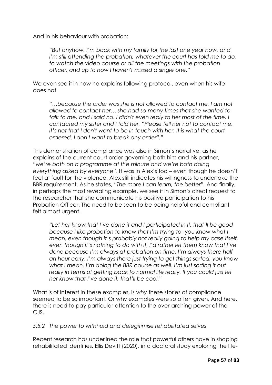And in his behaviour with probation:

*"But anyhow, I'm back with my family for the last one year now, and I'm still attending the probation, whatever the court has told me to do, to watch the video course or all the meetings with the probation officer, and up to now I haven't missed a single one."*

We even see it in how he explains following protocol, even when his wife does not.

*"…because the order was she is not allowed to contact me, I am not allowed to contact her… she had so many times that she wanted to talk to me, and I said no. I didn't even reply to her most of the time, I contacted my sister and I told her, "Please tell her not to contact me.*  It's not that I don't want to be in touch with her. It is what the court *ordered. I don't want to break any order"."*

This demonstration of compliance was also in Simon's narrative, as he explains of the current court order governing both him and his partner, *"we're both on a programme at the minute and we're both doing everything asked by everyone"*. It was in Alex's too – even though he doesn't feel at fault for the violence, Alex still indicates his willingness to undertake the BBR requirement. As he states, *"The more I can learn, the better".* And finally, in perhaps the most revealing example, we see it in Simon's direct request to the researcher that she communicate his positive participation to his Probation Officer. The need to be seen to be being helpful and compliant felt almost urgent.

*"Let her know that I've done it and I participated in it, that'll be good because I like probation to know that I'm trying to- you know what I mean, even though it's probably not really going to help my case itself, even though it's nothing to do with it, I'd rather let them know that I've done because I'm always at probation on time. I'm always there half an hour early. I'm always there just trying to get things sorted, you know what I mean. I'm doing the BBR course as well. I'm just sorting it out really in terms of getting back to normal life really. If you could just let her know that I've done it, that'll be cool."*

What is of interest in these examples, is *why* these stories of compliance seemed to be so important. Or why examples were so often given. And here, there is need to pay particular attention to the over-arching power of the CJS.

#### *5.5.2 The power to withhold and delegitimise rehabilitated selves*

Recent research has underlined the role that powerful others have in shaping rehabilitated identities. Ellis Devitt (2020), in a doctoral study exploring the life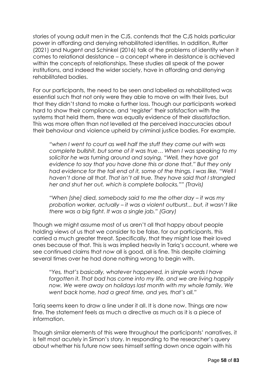stories of young adult men in the CJS, contends that the CJS holds particular power in affording and denying rehabilitated identities. In addition, Rutter (2021) and Nugent and Schinkel (2016) talk of the problems of identity when it comes to relational desistance – a concept where in desistance is achieved within the concepts of relationships. These studies all speak of the power institutions, and indeed the wider society, have in affording and denying rehabilitated bodies.

For our participants, the need to be seen and labelled as rehabilitated was essential such that not only were they able to move on with their lives, but that they didn't stand to make a further loss. Though our participants worked hard to show their compliance, and 'register' their satisfaction with the systems that held them, there was equally evidence of their dissatisfaction. This was more often than not levelled at the perceived inaccuracies about their behaviour and violence upheld by criminal justice bodies. For example,

*"when I went to court as well half the stuff they came out with was complete bullshit, but some of it was true… When I was speaking to my solicitor he was turning around and saying, "Well, they have got evidence to say that you have done this or done that." But they only had evidence for the tail end of it, some of the things. I was like, "Well I haven't done all that. That isn't all true. They have said that I strangled her and shut her out, which is complete bollocks."" (Travis)*

*"When [she] died, somebody said to me the other day – it was my probation worker, actually – it was a violent outburst... but, it wasn't like there was a big fight. It was a single jab." (Gary)*

Though we might assume most of us aren't all that happy about people holding views of us that we consider to be false, for our participants, this carried a much greater threat. Specifically, that they might lose their loved ones because of that. This is was implied heavily in Tariq's account, where we see continued claims that *now* all is good, all is fine. This despite claiming several times over he had done nothing wrong to begin with.

*"Yes, that's basically, whatever happened, in simple words I have forgotten it. That bad has come into my life, and we are living happily now. We were away on holidays last month with my whole family. We went back home, had a great time, and yes, that's all."*

Tariq seems keen to draw a line under it all. It is done now. Things are now fine. The statement feels as much a directive as much as it is a piece of information.

Though similar elements of this were throughout the participants' narratives, it is felt most acutely in Simon's story. In responding to the researcher's query about whether his future now sees himself setting down once again with his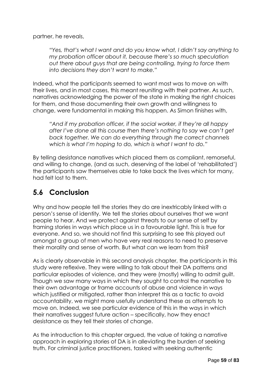partner, he reveals,

*"Yes, that's what I want and do you know what, I didn't say anything to my probation officer about it, because there's so much speculation out there about guys that are being controlling, trying to force them into decisions they don't want to make."*

Indeed, what the participants seemed to want most was to move on with their lives, and in most cases, this meant reuniting with their partner. As such, narratives acknowledging the power of the state in making the right choices for them, and those documenting their own growth and willingness to change, were fundamental in making this happen. As Simon finishes with,

*"And if my probation officer, if the social worker, if they're all happy after I've done all this course then there's nothing to say we can't get back together. We can do everything through the correct channels which is what I'm hoping to do, which is what I want to do."*

By telling desistance narratives which placed them as compliant, remorseful, and willing to change, (and as such, deserving of the label of 'rehabilitated') the participants saw themselves able to take back the lives which for many, had felt lost to them.

### **5.6 Conclusion**

Why and how people tell the stories they do are inextricably linked with a person's sense of identity. We tell the stories about ourselves that we want people to hear. And we protect against threats to our sense of self by framing stories in ways which place us in a favourable light. This is true for everyone. And so, we should not find this surprising to see this played out amongst a group of men who have very real reasons to need to preserve their morality and sense of worth. But what can we learn from this?

As is clearly observable in this second analysis chapter, the participants in this study were reflexive. They were willing to talk about their DA patterns and particular episodes of violence, and they were (mostly) willing to admit guilt. Though we saw many ways in which they sought to control the narrative to their own advantage or frame accounts of abuse and violence in ways which justified or mitigated, rather than interpret this as a tactic to avoid accountability, we might more usefully understand these as attempts to move on. Indeed, we see particular evidence of this in the ways in which their narratives suggest future action – specifically, how they enact desistance as they tell their stories of change.

As the introduction to this chapter argued, the value of taking a narrative approach in exploring stories of DA is in alleviating the burden of seeking truth. For criminal justice practitioners, tasked with seeking authentic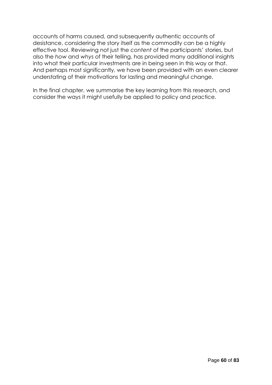accounts of harms caused, and subsequently authentic accounts of desistance, considering the story itself as the commodity can be a highly effective tool. Reviewing not just the *content* of the participants' stories, but also the *how* and *why*s of their telling, has provided many additional insights into what their particular investments are in being seen in this way or that. And perhaps most significantly, we have been provided with an even clearer understating of their motivations for lasting and meaningful change.

In the final chapter, we summarise the key learning from this research, and consider the ways it might usefully be applied to policy and practice.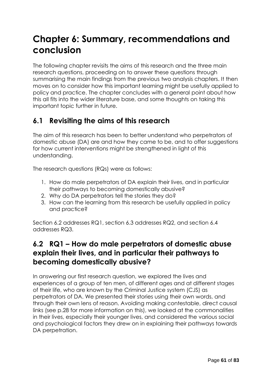# **Chapter 6: Summary, recommendations and conclusion**

The following chapter revisits the aims of this research and the three main research questions, proceeding on to answer these questions through summarising the main findings from the previous two analysis chapters. It then moves on to consider how this important learning might be usefully applied to policy and practice. The chapter concludes with a general point about how this all fits into the wider literature base, and some thoughts on taking this important topic further in future.

# **6.1 Revisiting the aims of this research**

The aim of this research has been to better understand who perpetrators of domestic abuse (DA) are and how they came to be, and to offer suggestions for how current interventions might be strengthened in light of this understanding.

The research questions (RQs) were as follows:

- 1. How do male perpetrators of DA explain their lives, and in particular their pathways to becoming domestically abusive?
- 2. Why do DA perpetrators tell the stories they do?
- 3. How can the learning from this research be usefully applied in policy and practice?

Section 6.2 addresses RQ1, section 6.3 addresses RQ2, and section 6.4 addresses RQ3.

# **6.2 RQ1 – How do male perpetrators of domestic abuse explain their lives, and in particular their pathways to becoming domestically abusive?**

In answering our first research question, we explored the lives and experiences of a group of ten men, of different ages and at different stages of their life, who are known by the Criminal Justice system (CJS) as perpetrators of DA. We presented their stories using their own words, and through their own lens of reason. Avoiding making contestable, direct causal links (see p.28 for more information on this), we looked at the commonalities in their lives, especially their younger lives, and considered the various social and psychological factors they drew on in explaining their pathways towards DA perpetration.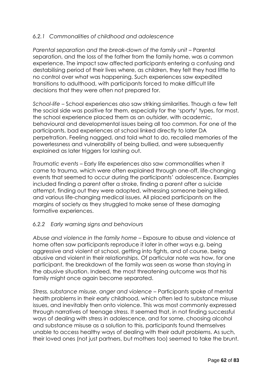#### *6.2.1 Commonalities of childhood and adolescence*

*Parental separation and the break-down of the family unit* – Parental separation, and the loss of the father from the family home, was a common experience. The impact saw affected participants entering a confusing and destabilising period of their lives where, as children, they felt they had little to no control over what was happening. Such experiences saw expedited transitions to adulthood, with participants forced to make difficult life decisions that they were often not prepared for.

*School-life* – School experiences also saw striking similarities. Though a few felt the social side was positive for them, especially for the 'sporty' types, for most, the school experience placed them as an outsider, with academic, behavioural and developmental issues being all too common. For one of the participants, bad experiences at school linked directly to later DA perpetration. Feeling nagged, and told what to do, recalled memories of the powerlessness and vulnerability of being bullied, and were subsequently explained as later triggers for lashing out.

*Traumatic events* – Early life experiences also saw commonalities when it came to trauma, which were often explained through one-off, life-changing events that seemed to occur during the participants' adolescence. Examples included finding a parent after a stroke, finding a parent after a suicide attempt, finding out they were adopted, witnessing someone being killed, and various life-changing medical issues. All placed participants on the margins of society as they struggled to make sense of these damaging formative experiences.

#### *6.2.2 Early warning signs and behaviours*

*Abuse and violence in the family home –* Exposure to abuse and violence at home often saw participants reproduce it later in other ways e.g. being aggressive and violent at school, getting into fights, and of course, being abusive and violent in their relationships. Of particular note was how, for one participant, the breakdown of the family was seen as worse than staying in the abusive situation. Indeed, the most threatening outcome was that his family might once again become separated.

*Stress, substance misuse, anger and violence –* Participants spoke of mental health problems in their early childhood, which often led to substance misuse issues, and inevitably then onto violence. This was most commonly expressed through narratives of teenage stress. It seemed that, in not finding successful ways of dealing with stress in adolescence, and for some, choosing alcohol and substance misuse as a solution to this, participants found themselves unable to access healthy ways of dealing with their adult problems. As such, their loved ones (not just partners, but mothers too) seemed to take the brunt.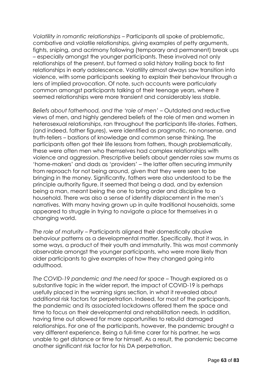*Volatility in romantic relationships –* Participants all spoke of problematic, combative and volatile relationships, giving examples of petty arguments, fights, sniping, and acrimony following (temporary and permanent) break ups – especially amongst the younger participants. These involved not only relationships of the present, but formed a solid history trailing back to first relationships in early adolescence. Volatility almost always saw transition into violence, with some participants seeking to explain their behaviour through a lens of implied provocation. Of note, such accounts were particularly common amongst participants talking of their teenage years, where it seemed relationships were more transient and considerably less stable.

*Beliefs about fatherhood, and the 'role of men' –* Outdated and reductive views of men, and highly gendered beliefs of the role of men and women in heterosexual relationships, ran throughout the participants life-stories. Fathers, (and indeed, father figures), were identified as pragmatic, no nonsense, and truth-tellers – bastions of knowledge and common sense thinking. The participants often got their life lessons from fathers, though problematically, these were often men who themselves had complex relationships with violence and aggression. Prescriptive beliefs about gender roles saw mums as 'home-makers' and dads as 'providers' – the latter often securing immunity from reproach for not being around, given that they were seen to be bringing in the money. Significantly, fathers were also understood to be the principle authority figure. It seemed that being a dad, and by extension being a man, meant being the one to bring order and discipline to a household. There was also a sense of identity displacement in the men's narratives. With many having grown up in quite traditional households, some appeared to struggle in trying to navigate a place for themselves in a changing world.

*The role of maturity –* Participants aligned their domestically abusive behaviour patterns as a developmental matter. Specifically, that it was, in some ways, a product of their youth and immaturity. This was most commonly observable amongst the younger participants, who were more likely than older participants to give examples of how they changed going into adulthood.

*The COVID-19 pandemic and the need for space* – Though explored as a substantive topic in the wider report, the impact of COVID-19 is perhaps usefully placed in the warning signs section, in what it revealed about additional risk factors for perpetration. Indeed, for most of the participants, the pandemic and its associated lockdowns offered them the space and time to focus on their developmental and rehabilitation needs. In addition, having time out allowed for more opportunities to rebuild damaged relationships. For one of the participants, however, the pandemic brought a very different experience. Being a full-time carer for his partner, he was unable to get distance or time for himself. As a result, the pandemic became another significant risk factor for his DA perpetration.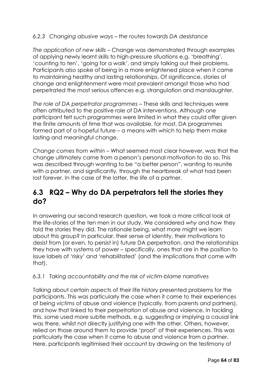#### *6.2.3 Changing abusive ways – the routes towards DA desistance*

*The application of new skills –* Change was demonstrated through examples of applying newly learnt skills to high-pressure situations e.g. 'breathing', 'counting to ten', 'going for a walk', and simply talking out their problems. Participants also spoke of being in a more enlightened place when it came to maintaining healthy and lasting relationships. Of significance, stories of change and enlightenment were most prevalent amongst those who had perpetrated the most serious offences e.g. strangulation and manslaughter.

*The role of DA perpetrator programmes –* These skills and techniques were often attributed to the positive role of DA interventions. Although one participant felt such programmes were limited in what they could offer given the finite amounts of time that was available, for most, DA programmes formed part of a hopeful future – a means with which to help them make lasting and meaningful change.

*Change comes from within –* What seemed most clear however, was that the change ultimately came from a person's personal motivation to do so. This was described through wanting to be "a better person", wanting to reunite with a partner, and significantly, through the heartbreak of what had been lost forever. In the case of the latter, the life of a partner.

### **6.3 RQ2 – Why do DA perpetrators tell the stories they do?**

In answering our second research question, we took a more critical look at the life-stories of the ten men in our study. We considered *why* and *how* they told the stories they did. The rationale being, what more might we learn about this group? In particular, their sense of identity, their motivations to desist from (or even, to persist in) future DA perpetration, and the relationships they have with systems of power – specifically, ones that are in the position to issue labels of 'risky' and 'rehabilitated' (and the implications that come with that).

#### *6.3.1 Taking accountability and the risk of victim-blame narratives*

Talking about certain aspects of their life history presented problems for the participants. This was particularly the case when it came to their experiences of being *victims* of abuse and violence (typically, from parents and partners), and how that linked to their *perpetration* of abuse and violence. In tackling this, some used more subtle methods, e.g. suggesting or implying a causal link was there, whilst not directly justifying one with the other. Others, however, relied on those around them to provide 'proof' of their experiences. This was particularly the case when it came to abuse and violence from a partner. Here, participants legitimised their account by drawing on the testimony of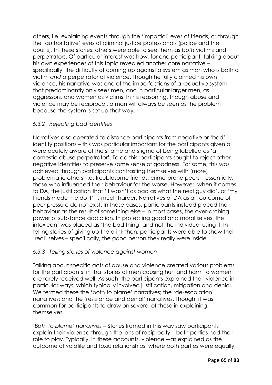others, i.e. explaining events through the 'impartial' eyes of friends, or through the 'authoritative' eyes of criminal justice professionals (police and the courts). In these stories, others were able to see them as *both* victims and perpetrators. Of particular interest was how, for one participant, talking about his own experiences of this topic revealed another core narrative – specifically, the difficulty of coming up against a system as man who is both a victim *and* a perpetrator of violence. Though he fully claimed his own violence, his narrative was one of the imperfections of a reductive system that predominantly only sees men, and in particular larger men, as aggressors, and women as victims. In his reasoning, though abuse and violence may be reciprocal, a man will always be seen as the problem because the system is set up that way.

#### *6.3.2 Rejecting bad identities*

Narratives also operated to distance participants from negative or 'bad' identity positions – this was particular important for the participants given all were acutely aware of the shame and stigma of being labelled as 'a domestic abuse perpetrator'. To do this, participants sought to reject other negative identities to preserve some sense of goodness. For some, this was achieved through participants contrasting themselves with (more) problematic others, i.e. troublesome friends, crime-prone peers – essentially, those who influenced their behaviour for the worse. However, when it comes to DA, the justification that 'it wasn't as bad as what the next guy did', or 'my friends made me do it', is much harder. Narratives of DA as an outcome of peer pressure do not exist. In these cases, participants instead placed their behaviour as the result of something else – in most cases, the over-arching power of substance addiction. In protecting good and moral selves, the intoxicant was placed as 'the bad thing' and not the individual using it. In telling stories of giving up the drink then, participants were able to show their 'real' selves – specifically, the good person they really were inside.

#### *6.3.3 Telling stories of violence against women*

Talking about specific acts of abuse and violence created various problems for the participants, in that stories of men causing hurt and harm to women are rarely received well. As such, the participants explained their violence in particular ways, which typically involved justification, mitigation and denial. We termed these the 'both to blame' narratives; the 'de-escalation' narratives; and the 'resistance and denial' narratives. Though, it was common for participants to draw on several of these in explaining themselves.

*'Both to blame' narratives –* Stories framed in this way saw participants explain their violence through the lens of reciprocity – both parties had their role to play. Typically, in these accounts, violence was explained as the outcome of volatile and toxic relationships, where both parties were equally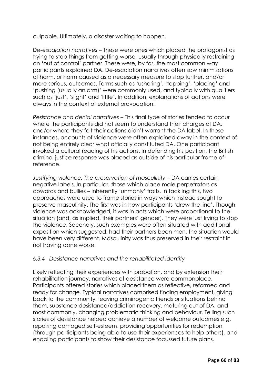culpable. Ultimately, a disaster waiting to happen.

*De-escalation narratives* – These were ones which placed the protagonist as trying to stop things from getting worse, usually through physically restraining an 'out of control' partner. These were, by far, the most common way participants explained DA. De-escalation narratives often saw minimisations of harm, or harm caused as a necessary measure to stop further, and/or more serious, outcomes. Terms such as 'ushering', 'tapping', 'placing' and 'pushing (usually an arm)' were commonly used, and typically with qualifiers such as 'just', 'slight' and 'little'. In addition, explanations of actions were always in the context of external provocation.

*Resistance and denial narratives* – This final type of stories tended to occur where the participants did not seem to understand their charges of DA, and/or where they felt their actions didn't warrant the DA label. In these instances, accounts of violence were often explained away in the context of not being entirely clear what officially constituted DA. One participant invoked a cultural reading of his actions. In defending his position, the British criminal justice response was placed as outside of his particular frame of reference.

*Justifying violence: The preservation of masculinity – DA carries certain* negative labels. In particular, those which place male perpetrators as cowards and bullies – inherently 'unmanly' traits. In tackling this, two approaches were used to frame stories in ways which instead sought to preserve masculinity. The first was in how participants 'drew the line'. Though violence was acknowledged, it was in acts which were proportional to the situation (and, as implied, their partners' gender). They were just trying to stop the violence. Secondly, such examples were often situated with additional exposition which suggested, had their partners been men, the situation would have been very different. Masculinity was thus preserved in their restraint in not having done worse.

#### *6.3.4 Desistance narratives and the rehabilitated identity*

Likely reflecting their experiences with probation, and by extension their rehabilitation journey, narratives of desistance were commonplace. Participants offered stories which placed them as reflective, reformed and ready for change. Typical narratives comprised finding employment, giving back to the community, leaving criminogenic friends or situations behind them, substance desistance/addiction recovery, maturing out of DA, and most commonly, changing problematic thinking and behaviour. Telling such stories of desistance helped achieve a number of welcome outcomes e.g. repairing damaged self-esteem, providing opportunities for redemption (through participants being able to use their experiences to help others), and enabling participants to show their desistance focussed future plans.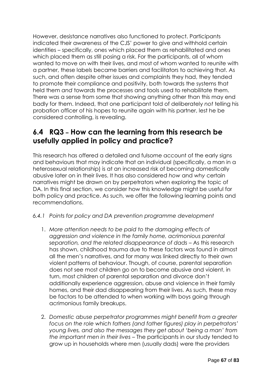However, desistance narratives also functioned to protect. Participants indicated their awareness of the CJS' power to give and withhold certain identities – specifically, ones which placed them as rehabilitated and ones which placed them as still posing a risk. For the participants, all of whom wanted to move on with their lives, and most of whom wanted to reunite with a partner, these labels became barriers and facilitators to achieving that. As such, and often despite other issues and complaints they had, they tended to promote their compliance and positivity, both towards the systems that held them *and* towards the processes and tools used to rehabilitate them. There was a sense from some that showing anything other than this may end badly for them. Indeed, that one participant told of deliberately *not* telling his probation officer of his hopes to reunite again with his partner, lest he be considered controlling, is revealing.

## **6.4 RQ3 – How can the learning from this research be usefully applied in policy and practice?**

This research has offered a detailed and fulsome account of the early signs and behaviours that may indicate that an individual (specifically, a man in a heterosexual relationship) is at an increased risk of becoming domestically abusive later on in their lives. It has also considered *how* and *why* certain narratives might be drawn on by perpetrators when exploring the topic of DA. In this final section, we consider how this knowledge might be useful for both policy and practice. As such, we offer the following learning points and recommendations.

- *6.4.1 Points for policy and DA prevention programme development*
	- 1. *More attention needs to be paid to the damaging effects of aggression and violence in the family home, acrimonious parental separation, and the related disappearance of dads* – As this research has shown, childhood trauma due to these factors was found in almost all the men's narratives, and for many was linked directly to their own violent patterns of behaviour. Though, of course, parental separation does not see most children go on to become abusive and violent, in turn, most children of parental separation and divorce don't additionally experience aggression, abuse and violence in their family homes, and their dad disappearing from their lives. As such, these may be factors to be attended to when working with boys going through acrimonious family breakups.
	- 2. *Domestic abuse perpetrator programmes might benefit from a greater focus on the role which fathers (and father figures) play in perpetrators' young lives, and also the messages they get about 'being a man' from the important men in their lives* – The participants in our study tended to grow up in households where men (usually dads) were the providers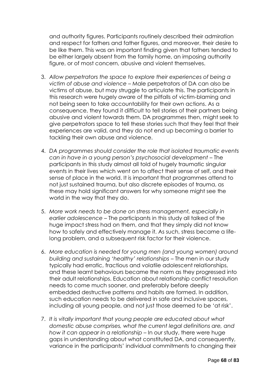and authority figures. Participants routinely described their admiration and respect for fathers and father figures, and moreover, their desire to be like them. This was an important finding given that fathers tended to be either largely absent from the family home, an imposing authority figure, or of most concern, abusive and violent themselves.

- 3. *Allow perpetrators the space to explore their experiences of being a victim of abuse and violence –* Male perpetrators of DA can also be victims of abuse, but may struggle to articulate this. The participants in this research were hugely aware of the pitfalls of victim-blaming and not being seen to take accountability for their own actions. As a consequence, they found it difficult to tell stories of their partners being abusive and violent towards them. DA programmes then, might seek to give perpetrators space to tell these stories such that they feel that their experiences are valid, and they do not end up becoming a barrier to tackling their own abuse and violence.
- 4. *DA programmes should consider the role that isolated traumatic events can in have in a young person's psychosocial development* – The participants in this study almost all told of hugely traumatic singular events in their lives which went on to affect their sense of self, and their sense of place in the world. It is important that programmes attend to not just sustained trauma, but also discrete episodes of trauma, as these may hold significant answers for why someone might see the world in the way that they do.
- 5. *More work needs to be done on stress management, especially in earlier adolescence* – The participants in this study all talked of the huge impact stress had on them, and that they simply did not know how to safely and effectively manage it. As such, stress became a lifelong problem, and a subsequent risk factor for their violence.
- 6. *More education is needed for young men (and young women) around building and sustaining 'healthy' relationships* – The men in our study typically had erratic, fractious and volatile adolescent relationships, and these learnt behaviours became the norm as they progressed into their adult relationships. Education about relationship conflict resolution needs to come much sooner, and preferably before deeply embedded destructive patterns and habits are formed. In addition, such education needs to be delivered in safe and inclusive spaces, including all young people, and not just those deemed to be 'at risk'.
- 7. *It is vitally important that young people are educated about what domestic abuse comprises, what the current legal definitions are, and how it can appear in a relationship* – In our study, there were huge gaps in understanding about what constituted DA, and consequently, variance in the participants' individual commitments to changing their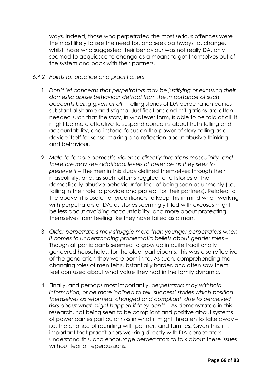ways. Indeed, those who perpetrated the most serious offences were the most likely to see the need for, and seek pathways to, change, whilst those who suggested their behaviour was not really DA, only seemed to acquiesce to change as a means to get themselves out of the system and back with their partners.

#### *6.4.2 Points for practice and practitioners*

- 1. *Don't let concerns that perpetrators may be justifying or excusing their domestic abuse behaviour detract from the importance of such accounts being given at all* – Telling stories of DA perpetration carries substantial shame and stigma. Justifications and mitigations are often needed such that the story, in whatever form, is able to be told at all. It might be more effective to suspend concerns about truth telling and accountability, and instead focus on the power of story-telling as a device itself for sense-making and reflection about abusive thinking and behaviour.
- 2. *Male to female domestic violence directly threatens masculinity, and therefore may see additional levels of defence as they seek to preserve it* – The men in this study defined themselves through their masculinity, and, as such, often struggled to tell stories of their domestically abusive behaviour for fear of being seen as unmanly (i.e. failing in their role to provide and protect for their partners). Related to the above, it is useful for practitioners to keep this in mind when working with perpetrators of DA, as stories seemingly filled with excuses might be less about avoiding accountability, and more about protecting themselves from feeling like they have failed as a man.
- 3. *Older perpetrators may struggle more than younger perpetrators when it comes to understanding problematic beliefs about gender roles* – Though all participants seemed to grow up in quite traditionally gendered households, for the older participants, this was also reflective of the generation they were born in to. As such, comprehending the changing roles of men felt substantially harder, and often saw them feel confused about what value they had in the family dynamic.
- 4. Finally, and perhaps most importantly, *perpetrators may withhold information, or be more inclined to tell 'success' stories which position themselves as reformed, changed and compliant, due to perceived risks about what might happen if they don't* – As demonstrated in this research, not being seen to be compliant and positive about systems of power carries particular risks in what it might threaten to take away – i.e. the chance of reuniting with partners and families. Given this, it is important that practitioners working directly with DA perpetrators understand this, and encourage perpetrators to talk about these issues without fear of repercussions.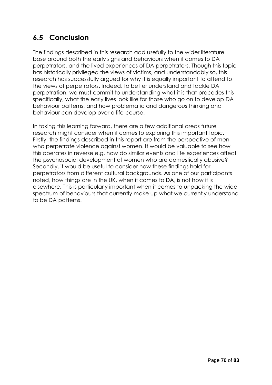# **6.5 Conclusion**

The findings described in this research add usefully to the wider literature base around both the early signs and behaviours when it comes to DA perpetrators, and the lived experiences of DA perpetrators. Though this topic has historically privileged the views of victims, and understandably so, this research has successfully argued for why it is equally important to attend to the views of perpetrators. Indeed, to better understand and tackle DA perpetration, we must commit to understanding what it is that precedes this – specifically, what the early lives look like for those who go on to develop DA behaviour patterns, and how problematic and dangerous thinking and behaviour can develop over a life-course.

In taking this learning forward, there are a few additional areas future research might consider when it comes to exploring this important topic. Firstly, the findings described in this report are from the perspective of men who perpetrate violence against women. It would be valuable to see how this operates in reverse e.g. how do similar events and life experiences affect the psychosocial development of women who are domestically abusive? Secondly, it would be useful to consider how these findings hold for perpetrators from different cultural backgrounds. As one of our participants noted, how things are in the UK, when it comes to DA, is not how it is elsewhere. This is particularly important when it comes to unpacking the wide spectrum of behaviours that currently make up what we currently understand to be DA patterns.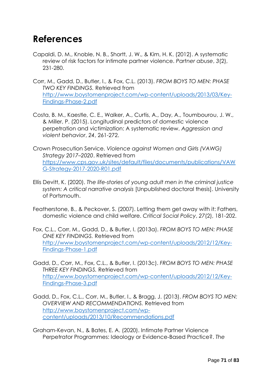# **References**

- Capaldi, D. M., Knoble, N. B., Shortt, J. W., & Kim, H. K. (2012). A systematic review of risk factors for intimate partner violence. *Partner abuse*, *3*(2), 231-280.
- Corr, M., Gadd, D., Butler, I., & Fox, C.L. (2013). *FROM BOYS TO MEN: PHASE TWO KEY FINDINGS.* Retrieved from [http://www.boystomenproject.com/wp-content/uploads/2013/03/Key-](http://www.boystomenproject.com/wp-content/uploads/2013/03/Key-Findings-Phase-2.pdf)[Findings-Phase-2.pdf](http://www.boystomenproject.com/wp-content/uploads/2013/03/Key-Findings-Phase-2.pdf)
- Costa, B. M., Kaestle, C. E., Walker, A., Curtis, A., Day, A., Toumbourou, J. W., & Miller, P. (2015). Longitudinal predictors of domestic violence perpetration and victimization: A systematic review. *Aggression and violent behavior*, *24*, 261-272.
- Crown Prosecution Service. *Violence against Women and Girls (VAWG) Strategy 2017–2020*. Retrieved from [https://www.cps.gov.uk/sites/default/files/documents/publications/VAW](https://www.cps.gov.uk/sites/default/files/documents/publications/VAWG-Strategy-2017-2020-R01.pdf) [G-Strategy-2017-2020-R01.pdf](https://www.cps.gov.uk/sites/default/files/documents/publications/VAWG-Strategy-2017-2020-R01.pdf)
- Ellis Devitt, K. (2020). *The life-stories of young adult men in the criminal justice system: A critical narrative analysis* [Unpublished doctoral thesis]. University of Portsmouth.
- Featherstone, B., & Peckover, S. (2007). Letting them get away with it: Fathers, domestic violence and child welfare. *Critical Social Policy*, *27*(2), 181-202.
- Fox, C.L., Corr, M., Gadd, D., & Butler, I. (2013a). *FROM BOYS TO MEN: PHASE ONE KEY FINDINGS.* Retrieved from [http://www.boystomenproject.com/wp-content/uploads/2012/12/Key-](http://www.boystomenproject.com/wp-content/uploads/2012/12/Key-Findings-Phase-1.pdf)[Findings-Phase-1.pdf](http://www.boystomenproject.com/wp-content/uploads/2012/12/Key-Findings-Phase-1.pdf)
- Gadd, D., Corr, M., Fox, C.L., & Butler, I. (2013c). *FROM BOYS TO MEN: PHASE THREE KEY FINDINGS.* Retrieved from [http://www.boystomenproject.com/wp-content/uploads/2012/12/Key-](http://www.boystomenproject.com/wp-content/uploads/2012/12/Key-Findings-Phase-3.pdf)[Findings-Phase-3.pdf](http://www.boystomenproject.com/wp-content/uploads/2012/12/Key-Findings-Phase-3.pdf)
- Gadd, D., Fox, C.L., Corr, M., Butler, I., & Bragg, J. (2013). *FROM BOYS TO MEN: OVERVIEW AND RECOMMENDATIONS.* Retrieved from [http://www.boystomenproject.com/wp](http://www.boystomenproject.com/wp-content/uploads/2013/10/Recommendations.pdf)[content/uploads/2013/10/Recommendations.pdf](http://www.boystomenproject.com/wp-content/uploads/2013/10/Recommendations.pdf)
- Graham‐Kevan, N., & Bates, E. A. (2020). Intimate Partner Violence Perpetrator Programmes: Ideology or Evidence‐Based Practice?. *The*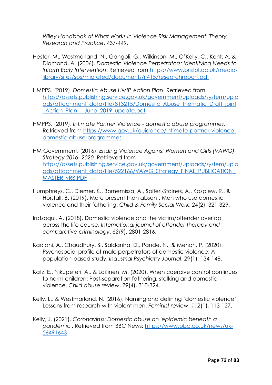*Wiley Handbook of What Works in Violence Risk Management: Theory, Research and Practice*, 437-449.

- Hester, M., Westmarland, N., Gangoli, G., Wilkinson, M., O'Kelly, C., Kent, A. & Diamond, A. (2006). *Domestic Violence Perpetrators: Identifying Needs to Inform Early Intervention*. Retrieved from [https://www.bristol.ac.uk/media](https://www.bristol.ac.uk/media-library/sites/sps/migrated/documents/rj4157researchreport.pdf)[library/sites/sps/migrated/documents/rj4157researchreport.pdf](https://www.bristol.ac.uk/media-library/sites/sps/migrated/documents/rj4157researchreport.pdf)
- HMPPS. (2019). *Domestic Abuse HMIP Action Plan*. Retrieved from [https://assets.publishing.service.gov.uk/government/uploads/system/uplo](https://assets.publishing.service.gov.uk/government/uploads/system/uploads/attachment_data/file/813215/Domestic_Abuse_thematic_Draft_joint_Action_Plan_-_June_2019_update.pdf) [ads/attachment\\_data/file/813215/Domestic\\_Abuse\\_thematic\\_Draft\\_joint](https://assets.publishing.service.gov.uk/government/uploads/system/uploads/attachment_data/file/813215/Domestic_Abuse_thematic_Draft_joint_Action_Plan_-_June_2019_update.pdf) [\\_Action\\_Plan\\_-\\_June\\_2019\\_update.pdf](https://assets.publishing.service.gov.uk/government/uploads/system/uploads/attachment_data/file/813215/Domestic_Abuse_thematic_Draft_joint_Action_Plan_-_June_2019_update.pdf)
- HMPPS. (2019). *Intimate Partner Violence - domestic abuse programmes*. Retrieved from [https://www.gov.uk/guidance/intimate-partner-violence](https://www.gov.uk/guidance/intimate-partner-violence-domestic-abuse-programmes)[domestic-abuse-programmes](https://www.gov.uk/guidance/intimate-partner-violence-domestic-abuse-programmes)
- HM Government. (2016). *Ending Violence Against Women and Girls (VAWG) Strategy 2016- 2020.* Retrieved from [https://assets.publishing.service.gov.uk/government/uploads/system/uplo](https://assets.publishing.service.gov.uk/government/uploads/system/uploads/attachment_data/file/522166/VAWG_Strategy_FINAL_PUBLICATION_MASTER_vRB.PDF) [ads/attachment\\_data/file/522166/VAWG\\_Strategy\\_FINAL\\_PUBLICATION\\_](https://assets.publishing.service.gov.uk/government/uploads/system/uploads/attachment_data/file/522166/VAWG_Strategy_FINAL_PUBLICATION_MASTER_vRB.PDF) [MASTER\\_vRB.PDF](https://assets.publishing.service.gov.uk/government/uploads/system/uploads/attachment_data/file/522166/VAWG_Strategy_FINAL_PUBLICATION_MASTER_vRB.PDF)
- Humphreys, C., Diemer, K., Bornemisza, A., Spiteri‐Staines, A., Kaspiew, R., & Horsfall, B. (2019). More present than absent: Men who use domestic violence and their fathering. *Child & Family Social Work*, *24*(2), 321-329.
- Iratzoqui, A. (2018). Domestic violence and the victim/offender overlap across the life course. *International journal of offender therapy and comparative criminology*, *62*(9), 2801-2816.
- Kadiani, A., Chaudhury, S., Saldanha, D., Pande, N., & Menon, P. (2020). Psychosocial profile of male perpetrators of domestic violence: A population-based study. *Industrial Psychiatry Journal*, *29*(1), 134-148.
- Katz, E., Nikupeteri, A., & Laitinen, M. (2020). When coercive control continues to harm children: Post‐separation fathering, stalking and domestic violence. *Child abuse review*, *29*(4), 310-324.
- Kelly, L., & Westmarland, N. (2016). Naming and defining 'domestic violence': Lessons from research with violent men. *Feminist review*, *112*(1), 113-127.

Kelly, J. (2021). *Coronavirus: Domestic abuse an 'epidemic beneath a pandemic*'. Retrieved from BBC News: [https://www.bbc.co.uk/news/uk-](https://www.bbc.co.uk/news/uk-56491643)[56491643](https://www.bbc.co.uk/news/uk-56491643)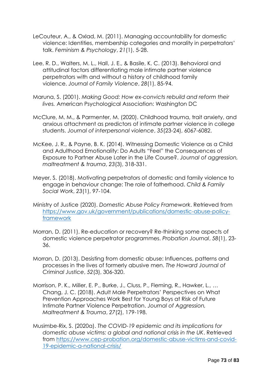- LeCouteur, A., & Oxlad, M. (2011). Managing accountability for domestic violence: Identities, membership categories and morality in perpetrators' talk. *Feminism & Psychology*, *21*(1), 5-28.
- Lee, R. D., Walters, M. L., Hall, J. E., & Basile, K. C. (2013). Behavioral and attitudinal factors differentiating male intimate partner violence perpetrators with and without a history of childhood family violence. *Journal of Family Violence*, *28*(1), 85-94.
- Maruna, S. (2001). *Making Good: How ex-convicts rebuild and reform their lives.* American Psychological Association: Washington DC
- McClure, M. M., & Parmenter, M. (2020). Childhood trauma, trait anxiety, and anxious attachment as predictors of intimate partner violence in college students. *Journal of interpersonal violence*, *35*(23-24), 6067-6082.
- McKee, J. R., & Payne, B. K. (2014). Witnessing Domestic Violence as a Child and Adulthood Emotionality: Do Adults "Feel" the Consequences of Exposure to Partner Abuse Later in the Life Course?. *Journal of aggression, maltreatment & trauma*, *23*(3), 318-331.
- Meyer, S. (2018). Motivating perpetrators of domestic and family violence to engage in behaviour change: The role of fatherhood. *Child & Family Social Work*, *23*(1), 97-104.
- Ministry of Justice (2020). *Domestic Abuse Policy Framework*. Retrieved from [https://www.gov.uk/government/publications/domestic-abuse-policy](https://www.gov.uk/government/publications/domestic-abuse-policy-framework)[framework](https://www.gov.uk/government/publications/domestic-abuse-policy-framework)
- Morran, D. (2011). Re-education or recovery? Re-thinking some aspects of domestic violence perpetrator programmes. *Probation Journal*, *58*(1), 23- 36.
- Morran, D. (2013). Desisting from domestic abuse: Influences, patterns and processes in the lives of formerly abusive men. *The Howard Journal of Criminal Justice*, *52*(3), 306-320.
- Morrison, P. K., Miller, E. P., Burke, J., Cluss, P., Fleming, R., Hawker, L., … Chang, J. C. (2018). Adult Male Perpetrators' Perspectives on What Prevention Approaches Work Best for Young Boys at Risk of Future Intimate Partner Violence Perpetration. *Journal of Aggression, Maltreatment & Trauma*, *27*(2), 179-198.
- Musimbe-Rix, S. (2020a). *The COVID-19 epidemic and its implications for domestic abuse victims: a global and national crisis in the UK*. Retrieved from [https://www.cep-probation.org/domestic-abuse-victims-and-covid-](https://www.cep-probation.org/domestic-abuse-victims-and-covid-19-epidemic-a-national-crisis/)[19-epidemic-a-national-crisis/](https://www.cep-probation.org/domestic-abuse-victims-and-covid-19-epidemic-a-national-crisis/)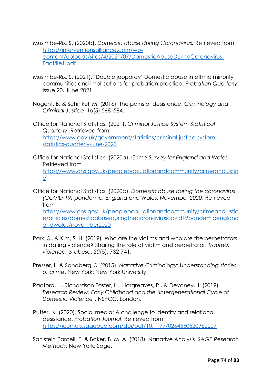- Musimbe-Rix, S. (2020b). *Domestic abuse during Coronavirus.* Retrieved from [https://interventionsalliance.com/wp](https://interventionsalliance.com/wp-content/uploads/sites/4/2021/07/DomesticAbuseDuringCoronavirus-Factfile1.pdf)[content/uploads/sites/4/2021/07/DomesticAbuseDuringCoronavirus-](https://interventionsalliance.com/wp-content/uploads/sites/4/2021/07/DomesticAbuseDuringCoronavirus-Factfile1.pdf)[Factfile1.pdf](https://interventionsalliance.com/wp-content/uploads/sites/4/2021/07/DomesticAbuseDuringCoronavirus-Factfile1.pdf)
- Musimbe-Rix, S. (2021). 'Double jeopardy' Domestic abuse in ethnic minority communities and implications for probation practice. *Probation Quarterly*, Issue 20, June 2021.
- Nugent, B. & Schinkel, M. (2016). The pains of desistance. *Criminology and Criminal Justice, 16*(5) 568–584.

Office for National Statistics. (2021). *Criminal Justice System Statistical Quarterly*. Retrieved from [https://www.gov.uk/government/statistics/criminal-justice-system](https://www.gov.uk/government/statistics/criminal-justice-system-statistics-quarterly-june-2020)[statistics-quarterly-june-2020](https://www.gov.uk/government/statistics/criminal-justice-system-statistics-quarterly-june-2020)

Office for National Statistics. (2020a). *Crime Survey for England and Wales.*  Retrieved from [https://www.ons.gov.uk/peoplepopulationandcommunity/crimeandjustic](https://www.ons.gov.uk/peoplepopulationandcommunity/crimeandjustice) [e](https://www.ons.gov.uk/peoplepopulationandcommunity/crimeandjustice)

Office for National Statistics. (2020b). *Domestic abuse during the coronavirus (COVID-19) pandemic, England and Wales: November 2020*. Retrieved from [https://www.ons.gov.uk/peoplepopulationandcommunity/crimeandjustic](https://www.ons.gov.uk/peoplepopulationandcommunity/crimeandjustice/articles/domesticabuseduringthecoronaviruscovid19pandemicenglandandwales/november2020) [e/articles/domesticabuseduringthecoronaviruscovid19pandemicengland](https://www.ons.gov.uk/peoplepopulationandcommunity/crimeandjustice/articles/domesticabuseduringthecoronaviruscovid19pandemicenglandandwales/november2020) [andwales/november2020](https://www.ons.gov.uk/peoplepopulationandcommunity/crimeandjustice/articles/domesticabuseduringthecoronaviruscovid19pandemicenglandandwales/november2020)

- Park, S., & Kim, S. H. (2019). Who are the victims and who are the perpetrators in dating violence? Sharing the role of victim and perpetrator. *Trauma, violence, & abuse*, *20*(5), 732-741.
- Presser, L. & Sandberg, S. (2015). *Narrative Criminology: Understanding stories of crime*. New York: New York University.
- Radford, L., Richardson Foster, H., Hargreaves, P., & Devaney, J. (2019). *Research Review: Early Childhood and the 'Intergenerational Cycle of Domestic Violence'*. NSPCC, London.
- Rutter, N. (2020). Social media: A challenge to identity and relational desistance. *Probation Journal*. Retrieved from <https://journals.sagepub.com/doi/pdf/10.1177/0264550520962207>
- Sahlstein Parcell, E. & Baker, B. M. A. (2018). Narrative Analysis. *SAGE Research Methods*. New York: Sage.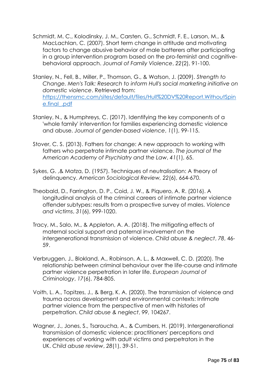- Schmidt, M. C., Kolodinsky, J. M., Carsten, G., Schmidt, F. E., Larson, M., & MacLachlan, C. (2007). Short term change in attitude and motivating factors to change abusive behavior of male batterers after participating in a group intervention program based on the pro-feminist and cognitivebehavioral approach. *Journal of Family Violence*, *22*(2), 91-100.
- Stanley, N., Fell, B., Miller, P., Thomson, G., & Watson, J. (2009). *Strength to Change. Men's Talk: Research to inform Hull's social marketing initiative on domestic violence*. Retrieved from: [https://thensmc.com/sites/default/files/Hull%20DV%20Report.WithoutSpin](https://thensmc.com/sites/default/files/Hull%20DV%20Report.WithoutSpine.final_.pdf) e.final .pdf
- Stanley, N., & Humphreys, C. (2017). Identifying the key components of a 'whole family' intervention for families experiencing domestic violence and abuse. *Journal of gender-based violence*, *1*(1), 99-115.
- Stover, C. S. (2013). Fathers for change: A new approach to working with fathers who perpetrate intimate partner violence. *The journal of the American Academy of Psychiatry and the Law*, *41*(1), 65.
- Sykes, G. ,& Matza, D. (1957). Techniques of neutralisation: A theory of delinquency. *American Sociological Review, 22*(6), 664-670.
- Theobald, D., Farrington, D. P., Coid, J. W., & Piquero, A. R. (2016). A longitudinal analysis of the criminal careers of intimate partner violence offender subtypes: results from a prospective survey of males. *Violence and victims*, *31*(6), 999-1020.
- Tracy, M., Salo, M., & Appleton, A. A. (2018). The mitigating effects of maternal social support and paternal involvement on the intergenerational transmission of violence. *Child abuse & neglect*, *78*, 46- 59.
- Verbruggen, J., Blokland, A., Robinson, A. L., & Maxwell, C. D. (2020). The relationship between criminal behaviour over the life-course and intimate partner violence perpetration in later life. *European Journal of Criminology*, *17*(6), 784-805.
- Voith, L. A., Topitzes, J., & Berg, K. A. (2020). The transmission of violence and trauma across development and environmental contexts: Intimate partner violence from the perspective of men with histories of perpetration. *Child abuse & neglect*, *99*, 104267.
- Wagner, J., Jones, S., Tsaroucha, A., & Cumbers, H. (2019). Intergenerational transmission of domestic violence: practitioners' perceptions and experiences of working with adult victims and perpetrators in the UK. *Child abuse review*, *28*(1), 39-51.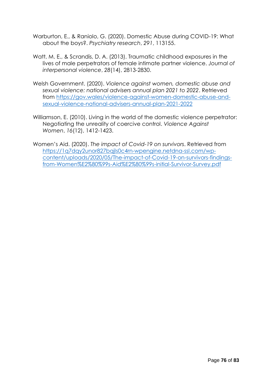- Warburton, E., & Raniolo, G. (2020). Domestic Abuse during COVID-19: What about the boys?. *Psychiatry research*, *291*, 113155.
- Watt, M. E., & Scrandis, D. A. (2013). Traumatic childhood exposures in the lives of male perpetrators of female intimate partner violence. *Journal of interpersonal violence*, *28*(14), 2813-2830.
- Welsh Government. (2020). *Violence against women, domestic abuse and sexual violence: national advisers annual plan 2021 to 2022*. Retrieved from [https://gov.wales/violence-against-women-domestic-abuse-and](https://gov.wales/violence-against-women-domestic-abuse-and-sexual-violence-national-advisers-annual-plan-2021-2022)[sexual-violence-national-advisers-annual-plan-2021-2022](https://gov.wales/violence-against-women-domestic-abuse-and-sexual-violence-national-advisers-annual-plan-2021-2022)
- Williamson, E. (2010). Living in the world of the domestic violence perpetrator: Negotiating the unreality of coercive control. *Violence Against Women*, *16*(12), 1412-1423.
- Women's Aid. (2020). *The impact of Covid-19 on survivors*. Retrieved from [https://1q7dqy2unor827bqjls0c4rn-wpengine.netdna-ssl.com/wp](https://1q7dqy2unor827bqjls0c4rn-wpengine.netdna-ssl.com/wp-content/uploads/2020/05/The-impact-of-Covid-19-on-survivors-findings-from-Women%E2%80%99s-Aid%E2%80%99s-initial-Survivor-Survey.pdf)[content/uploads/2020/05/The-impact-of-Covid-19-on-survivors-findings](https://1q7dqy2unor827bqjls0c4rn-wpengine.netdna-ssl.com/wp-content/uploads/2020/05/The-impact-of-Covid-19-on-survivors-findings-from-Women%E2%80%99s-Aid%E2%80%99s-initial-Survivor-Survey.pdf)[from-Women%E2%80%99s-Aid%E2%80%99s-initial-Survivor-Survey.pdf](https://1q7dqy2unor827bqjls0c4rn-wpengine.netdna-ssl.com/wp-content/uploads/2020/05/The-impact-of-Covid-19-on-survivors-findings-from-Women%E2%80%99s-Aid%E2%80%99s-initial-Survivor-Survey.pdf)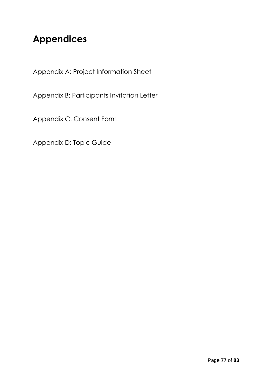# **Appendices**

Appendix A: Project Information Sheet

Appendix B: Participants Invitation Letter

Appendix C: Consent Form

Appendix D: Topic Guide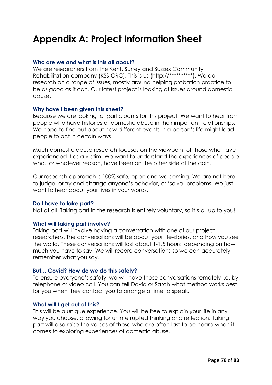# **Appendix A: Project Information Sheet**

## **Who are we and what is this all about?**

We are researchers from the Kent, Surrey and Sussex Community Rehabilitation company (KSS CRC). This is us (http://\*\*\*\*\*\*\*\*\*\*). We do research on a range of issues, mostly around helping probation practice to be as good as it can. Our latest project is looking at issues around domestic abuse.

## **Why have I been given this sheet?**

Because we are looking for participants for this project! We want to hear from people who have histories of domestic abuse in their important relationships. We hope to find out about how different events in a person's life might lead people to act in certain ways.

Much domestic abuse research focuses on the viewpoint of those who have experienced it as a victim. We want to understand the experiences of people who, for whatever reason, have been on the other side of the coin.

Our research approach is 100% safe, open and welcoming. We are not here to judge, or try and change anyone's behavior, or 'solve' problems. We just want to hear about your lives in your words.

#### **Do I have to take part?**

Not at all. Taking part in the research is entirely voluntary, so it's all up to you!

## **What will taking part involve?**

Taking part will involve having a conversation with one of our project researchers. The conversations will be about your life-stories, and how you see the world. These conversations will last about 1-1.5 hours, depending on how much you have to say. We will record conversations so we can accurately remember what you say.

#### **But… Covid? How do we do this safely?**

To ensure everyone's safety, we will have these conversations remotely i.e. by telephone or video call. You can tell David or Sarah what method works best for you when they contact you to arrange a time to speak.

#### **What will I get out of this?**

This will be a unique experience. You will be free to explain your life in any way you choose, allowing for uninterrupted thinking and reflection. Taking part will also raise the voices of those who are often last to be heard when it comes to exploring experiences of domestic abuse.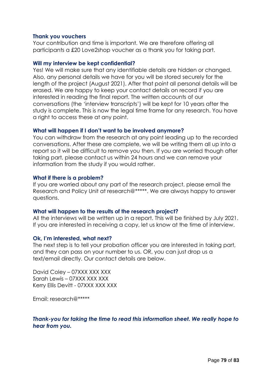### **Thank you vouchers**

Your contribution and time is important. We are therefore offering all participants a £20 Love2shop voucher as a thank you for taking part.

#### **Will my interview be kept confidential?**

Yes! We will make sure that any identifiable details are hidden or changed. Also, any personal details we have for you will be stored securely for the length of the project (August 2021). After that point all personal details will be erased. We are happy to keep your contact details on record if you are interested in reading the final report. The written accounts of our conversations (the 'interview transcripts') will be kept for 10 years after the study is complete. This is now the legal time frame for any research. You have a right to access these at any point.

## **What will happen if I don't want to be involved anymore?**

You can withdraw from the research at any point leading up to the recorded conversations. After these are complete, we will be writing them all up into a report so it will be difficult to remove you then. If you are worried though after taking part, please contact us within 24 hours and we can remove your information from the study if you would rather.

#### **What if there is a problem?**

If you are worried about any part of the research project, please email the Research and Policy Unit at research@\*\*\*\*\*. We are always happy to answer questions.

## **What will happen to the results of the research project?**

All the interviews will be written up in a report. This will be finished by July 2021. If you are interested in receiving a copy, let us know at the time of interview.

#### **Ok, I'm interested, what next?**

The next step is to tell your probation officer you are interested in taking part, and they can pass on your number to us. OR, you can just drop us a text/email directly. Our contact details are below.

David Coley – 07XXX XXX XXX Sarah Lewis – 07XXX XXX XXX Kerry Ellis Devitt - 07XXX XXX XXX

Email: research@\*\*\*\*\*

## *Thank-you for taking the time to read this information sheet. We really hope to hear from you.*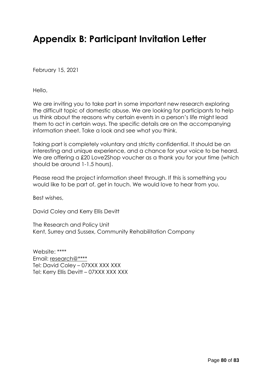# **Appendix B: Participant Invitation Letter**

February 15, 2021

Hello,

We are inviting you to take part in some important new research exploring the difficult topic of domestic abuse. We are looking for participants to help us think about the reasons why certain events in a person's life might lead them to act in certain ways. The specific details are on the accompanying information sheet. Take a look and see what you think.

Taking part is completely voluntary and strictly confidential. It should be an interesting and unique experience, and a chance for your voice to be heard. We are offering a £20 Love2Shop voucher as a thank you for your time (which should be around 1-1.5 hours).

Please read the project information sheet through. If this is something you would like to be part of, get in touch. We would love to hear from you.

Best wishes,

David Coley and Kerry Ellis Devitt

The Research and Policy Unit Kent, Surrey and Sussex, Community Rehabilitation Company

Website: \*\*\*\* Email: [research@\\*\\*\\*\\*](mailto:research@ksscrc.probationservices.co.uk) Tel: David Coley – 07XXX XXX XXX Tel: Kerry Ellis Devitt – 07XXX XXX XXX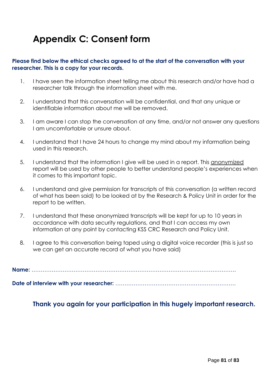# **Appendix C: Consent form**

# **Please find below the ethical checks agreed to at the start of the conversation with your researcher. This is a copy for your records.**

- 1. I have seen the information sheet telling me about this research and/or have had a researcher talk through the information sheet with me.
- 2. I understand that this conversation will be confidential, and that any unique or identifiable information about me will be removed.
- 3. I am aware I can stop the conversation at any time, and/or not answer any questions I am uncomfortable or unsure about.
- 4. I understand that I have 24 hours to change my mind about my information being used in this research.
- 5. I understand that the information I give will be used in a report. This anonymized report will be used by other people to better understand people's experiences when it comes to this important topic.
- 6. I understand and give permission for transcripts of this conversation (a written record of what has been said) to be looked at by the Research & Policy Unit in order for the report to be written.
- 7. I understand that these anonymized transcripts will be kept for up to 10 years in accordance with data security regulations, and that I can access my own information at any point by contacting KSS CRC Research and Policy Unit.
- 8. I agree to this conversation being taped using a digital voice recorder (this is just so we can get an accurate record of what you have said)

**Name:** ………………………………………………………………………………………………….

**Date of interview with your researcher:** …………………………………………………………

**Thank you again for your participation in this hugely important research.**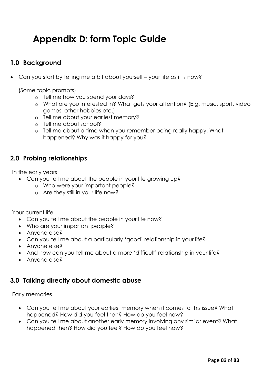# **Appendix D: form Topic Guide**

# **1.0 Background**

• Can you start by telling me a bit about yourself – your life as it is now?

(Some topic prompts)

- o Tell me how you spend your days?
- o What are you interested in? What gets your attention? (E.g. music, sport, video games, other hobbies etc.)
- o Tell me about your earliest memory?
- o Tell me about school?
- o Tell me about a time when you remember being really happy. What happened? Why was it happy for you?

# **2.0 Probing relationships**

In the early years

- Can you tell me about the people in your life growing up?
	- o Who were your important people?
	- o Are they still in your life now?

Your current life

- Can you tell me about the people in your life now?
- Who are your important people?
- Anyone else?
- Can you tell me about a particularly 'good' relationship in your life?
- Anyone else?
- And now can you tell me about a more 'difficult' relationship in your life?
- Anyone else?

# **3.0 Talking directly about domestic abuse**

## Early memories

- Can you tell me about your earliest memory when it comes to this issue? What happened? How did you feel then? How do you feel now?
- Can you tell me about another early memory involving any similar event? What happened then? How did you feel? How do you feel now?